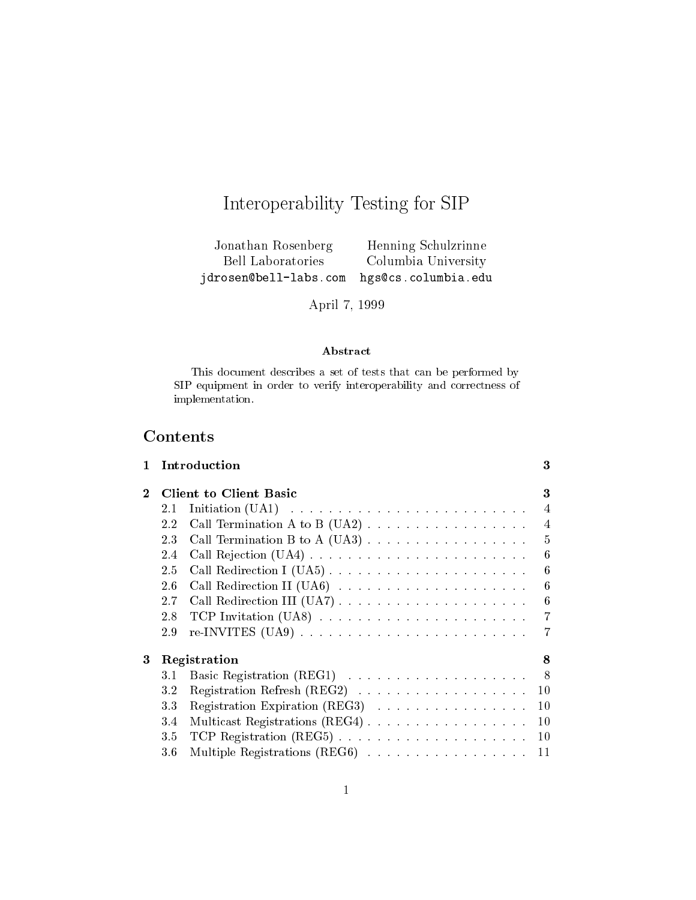# Interoperability Testing for SIP

Jonathan Rosenberg Henning Schulzrinne Bell Laboratories Columbia University jdrosen@bell-labs.com hgs@cs.columbia.edu

April 7, 1999

## Abstract

This document describes <sup>a</sup> set of tests that can be performed by SIP equipment in order to verify interoperability and correctness of implementation.

# Contents

| 1 |                        | Introduction                                                            | 3              |  |
|---|------------------------|-------------------------------------------------------------------------|----------------|--|
| 2 | Client to Client Basic |                                                                         |                |  |
|   | 2.1                    |                                                                         | $\overline{4}$ |  |
|   | 2.2                    |                                                                         | $\overline{4}$ |  |
|   | 2.3                    |                                                                         | 5              |  |
|   | 2.4                    |                                                                         | 6              |  |
|   | 2.5                    |                                                                         | -6             |  |
|   | 2.6                    |                                                                         | 6              |  |
|   | 2.7                    | Call Redirection III (UA7)                                              | -6             |  |
|   | 2.8                    |                                                                         | 7              |  |
|   | 2.9                    |                                                                         | 7              |  |
| 3 |                        | Registration                                                            | 8              |  |
|   | $3.1\,$                |                                                                         | - 8            |  |
|   | 3.2                    | Registration Refresh $(REG2) \ldots \ldots \ldots \ldots \ldots \ldots$ | -10            |  |
|   | 3.3                    | Registration Expiration (REG3)                                          | 10             |  |
|   | 3.4                    |                                                                         | 10             |  |
|   | 3.5                    |                                                                         | 10             |  |
|   | $3.6\,$                |                                                                         | 11             |  |
|   |                        |                                                                         |                |  |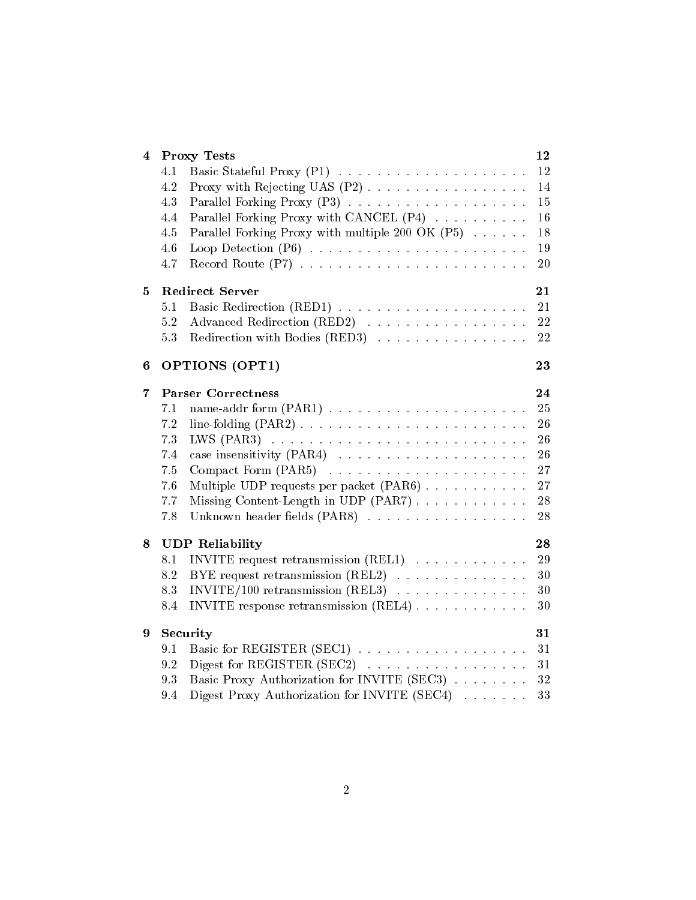| 4 | <b>Proxy Tests</b>                                      | 12 |
|---|---------------------------------------------------------|----|
|   | 4.1                                                     | 12 |
|   | 4.2                                                     | 14 |
|   | 4.3                                                     | 15 |
|   | Parallel Forking Proxy with CANCEL (P4)<br>4.4          | 16 |
|   | Parallel Forking Proxy with multiple 200 OK (P5)<br>4.5 | 18 |
|   | 4.6                                                     | 19 |
|   | 4.7                                                     | 20 |
| 5 | <b>Redirect Server</b>                                  | 21 |
|   | 5.1                                                     | 21 |
|   | Advanced Redirection (RED2)<br>5.2                      | 22 |
|   | Redirection with Bodies (RED3)<br>5.3                   | 22 |
| 6 | OPTIONS (OPT1)                                          | 23 |
| 7 | <b>Parser Correctness</b>                               | 24 |
|   | 7.1                                                     | 25 |
|   | 7.2                                                     | 26 |
|   | 7.3                                                     | 26 |
|   | 7.4                                                     | 26 |
|   | 7.5                                                     | 27 |
|   | 7.6<br>Multiple UDP requests per packet $(PAR6)$        | 27 |
|   | 7.7<br>Missing Content-Length in UDP (PAR7)             | 28 |
|   | 7.8<br>Unknown header fields (PAR8)                     | 28 |
| 8 | <b>UDP Reliability</b>                                  | 28 |
|   | INVITE request retransmission $(REL1)$<br>8.1           | 29 |
|   | 8.2<br>BYE request retransmission $(REL2)$              | 30 |
|   | $INVITE/100$ retransmission (REL3)<br>8.3               | 30 |
|   | INVITE response retransmission $(REL4)$<br>8.4          | 30 |
| 9 | Security                                                | 31 |
|   | 9.1                                                     | 31 |
|   | 9.2                                                     | 31 |
|   | Basic Proxy Authorization for INVITE (SEC3)<br>9.3      | 32 |
|   | Digest Proxy Authorization for INVITE (SEC4)<br>9.4     | 33 |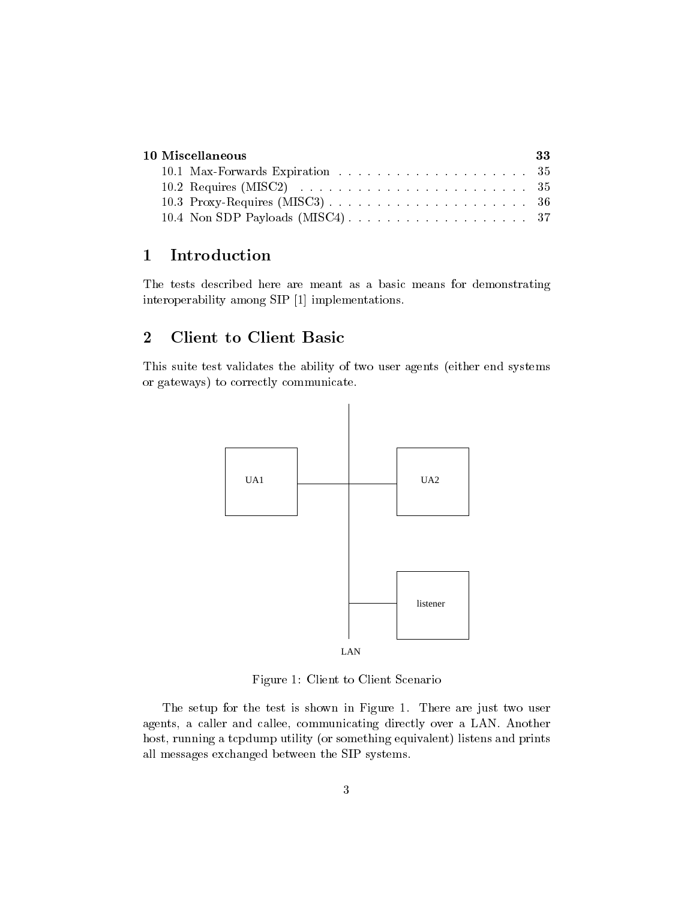| 10 Miscellaneous- |                                                                                                  |  |  |  |
|-------------------|--------------------------------------------------------------------------------------------------|--|--|--|
|                   |                                                                                                  |  |  |  |
|                   | 10.2 Requires (MISC2) $\ldots \ldots \ldots \ldots \ldots \ldots \ldots \ldots \ldots \ldots 35$ |  |  |  |
|                   |                                                                                                  |  |  |  |
|                   |                                                                                                  |  |  |  |

## 1Introduction

The tests described here are meant as a basic means for demonstrating interoperability among SIP [1] implementations.

## 2Client to Client Basic

This suite test validates the ability of two user agents (either end systems or gateways) to correctly communicate.



Figure 1: Client to Client Scenario

The setup for the test is shown in Figure 1. There are just two user agents, a caller and callee, communicating directly over a LAN. Another host, running a tcpdump utility (or something equivalent) listens and prints all messages exchanged between the SIP systems.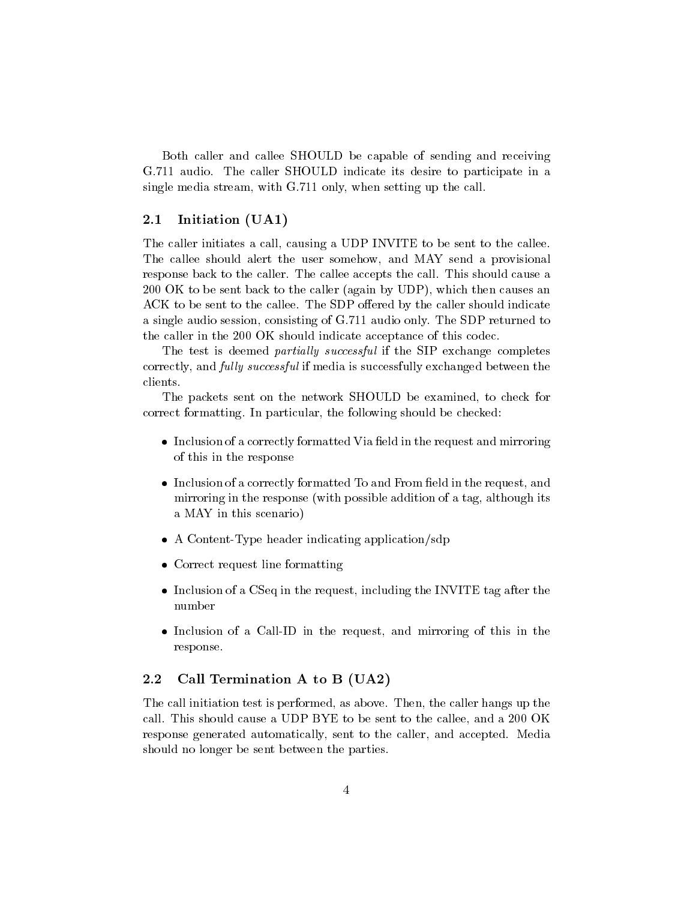Both caller and callee SHOULD be capable of sending and receiving G.711 audio. The caller SHOULD indicate its desire to participate in a single media stream, with G.711 only, when setting up the call.

## 2.1 Initiation (UA1)

The caller initiates a call, causing a UDP INVITE to be sent to the callee. The callee should alert the user somehow, and MAY send a provisional response back to the caller. The callee accepts the call. This should cause a 200 OK to be sent back to the caller (again by UDP), which then causes an ACK to be sent to the callee. The SDP offered by the caller should indicate a single audio session, consisting of G.711 audio only. The SDP returned to the caller in the 200 OK should indicate acceptance of this codec.

The test is deemed *partially successful* if the SIP exchange completes correctly, and *fully successful* if media is successfully exchanged between the clients.

The packets sent on the network SHOULD be examined, to check for correct formatting. In particular, the following should be checked:

- Inclusion of a correctly formatted Via eld in the request and mirroring of this in the response
- Inclusion of a correctly formatted To and From eld in the request, and mirroring in the response (with possible addition of a tag, although its a MAY in this scenario)
- A Content-Type header indicating application in distribution  $\mathcal{A}$  . The content of the content of the content of the content of the content of the content of the content of the content of the content of the content of
- Correct request line formatting
- Inclusion of a CSeq in the request, including the INVITE tag after the number
- Inclusion of a Call-ID in the request, and mirroring of this in the response.

## $2.2$ Call Termination A to B  $(UA2)$

The call initiation test is performed, as above. Then, the caller hangs up the call. This should cause a UDP BYE to be sent to the callee, and a 200 OK response generated automatically, sent to the caller, and accepted. Media should no longer be sent between the parties.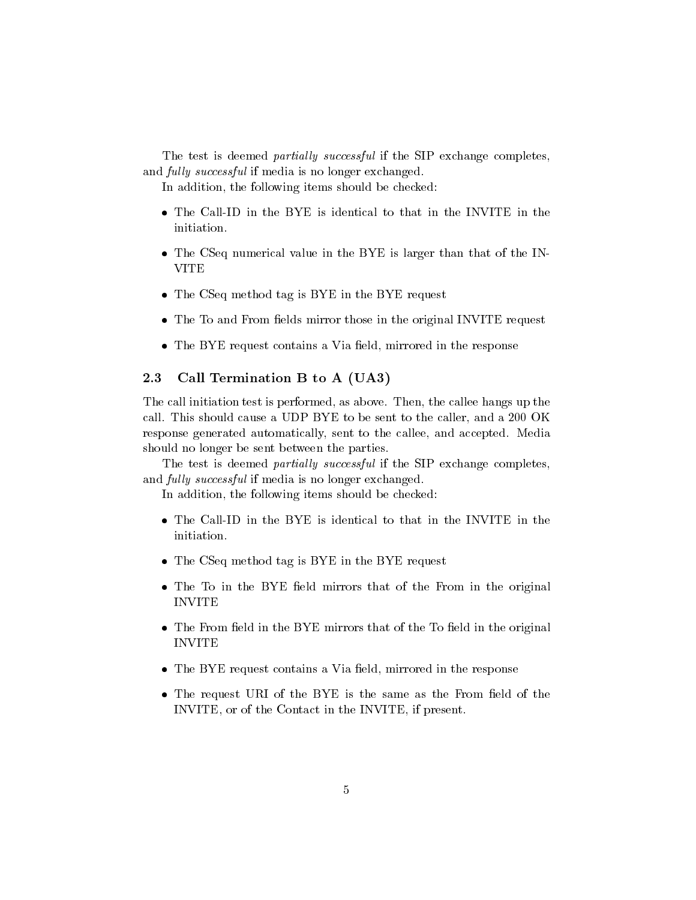The test is deemed *partially successful* if the SIP exchange completes, and *fully successful* if media is no longer exchanged.

In addition, the following items should be checked:

- 
- The CSeq numerical value in the BYE is larger than that the IN-VITE
- $T$  . The CSeq method tag is  $T$  is  $T$  is  $T$  . The  $T$  is  $T$  requested to  $T$
- The To and From elds mirror those in the original INVITE request
- The BYE request contains a Via eld, mirrored in the response

# 2.3 Call Termination B to A (UA3)

The call initiation test is performed, as above. Then, the callee hangs up the call. This should cause a UDP BYE to be sent to the caller, and a 200 OK response generated automatically, sent to the callee, and accepted. Media should no longer be sent between the parties.

The test is deemed *partially successful* if the SIP exchange completes, and *fully successful* if media is no longer exchanged.

In addition, the following items should be checked:

- initiation.
- $T$  . The CSeq method tag is  $T$  is  $T$  is  $T$  . The  $T$  is  $T$  requested to  $T$
- The To in the BYE eld mirrors that of the From in the original INVITE
- The From eld in the BYE mirrors that of the BYE mirrors that of the  $\mathbf{f}$ INVITE
- The BYE request contains a Via eld, mirrored in the response
- The request URI of the BYE is the same as the From eld of the INVITE, or of the Contact in the INVITE, if present.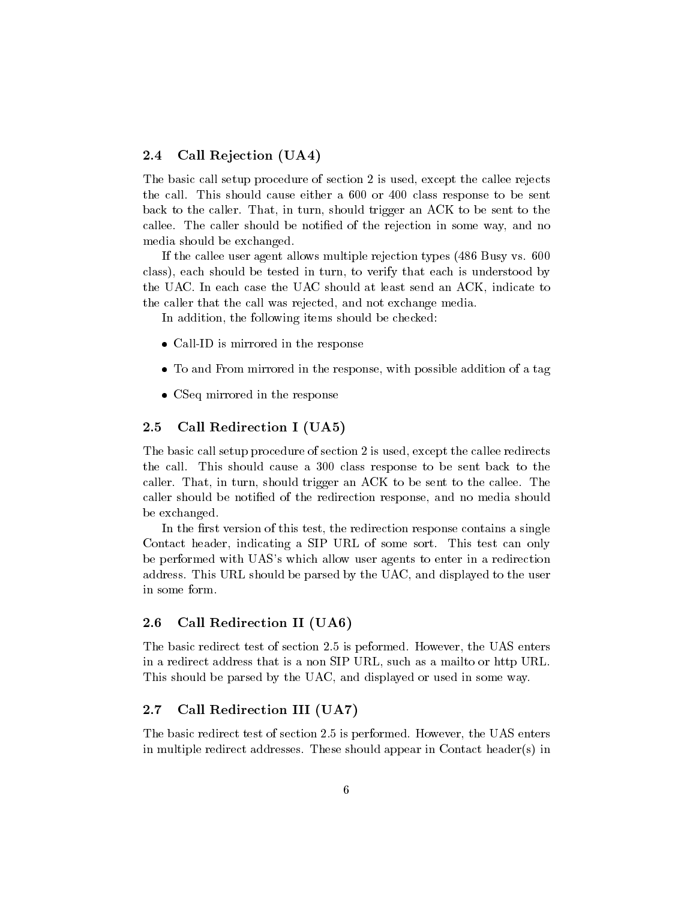## 2.4 Call Rejection (UA4)

The basic call setup procedure of section 2 is used, except the callee rejects the call. This should cause either a 600 or 400 class response to be sent back to the caller. That, in turn, should trigger an ACK to be sent to the callee. The caller should be notified of the rejection in some way, and no media should be exchanged.

If the callee user agent allows multiple rejection types (486 Busy vs. 600 class), each should be tested in turn, to verify that each is understood by the UAC. In each case the UAC should at least send an ACK, indicate to the caller that the call was rejected, and not exchange media.

In addition, the following items should be checked:

- Call-ID is mirrored in the response in the response of the response in the response of the response of the response of the response of the response of the response of the response of the response of the response of the res
- To and From mirrored in the response, with possible addition of a tag
- CSeq mirrored in the response

## 2.5 Call Redirection I (UA5)

The basic call setup procedure of section 2 is used, except the callee redirects the call. This should cause a 300 class response to be sent back to the caller. That, in turn, should trigger an ACK to be sent to the callee. The caller should be notied of the redirection response, and no media should be exchanged.

In the first version of this test, the redirection response contains a single Contact header, indicating a SIP URL of some sort. This test can only be performed with UAS's which allow user agents to enter in a redirection address. This URL should be parsed by the UAC, and displayed to the user in some form.

## 2.6 Call Redirection II (UA6)

The basic redirect test of section 2.5 is peformed. However, the UAS enters in a redirect address that is a non SIP URL, such as a mailto or http URL. This should be parsed by the UAC, and displayed or used in some way.

## $2.7$ Call Redirection III (UA7)

The basic redirect test of section 2.5 is performed. However, the UAS enters in multiple redirect addresses. These should appear in Contact header(s) in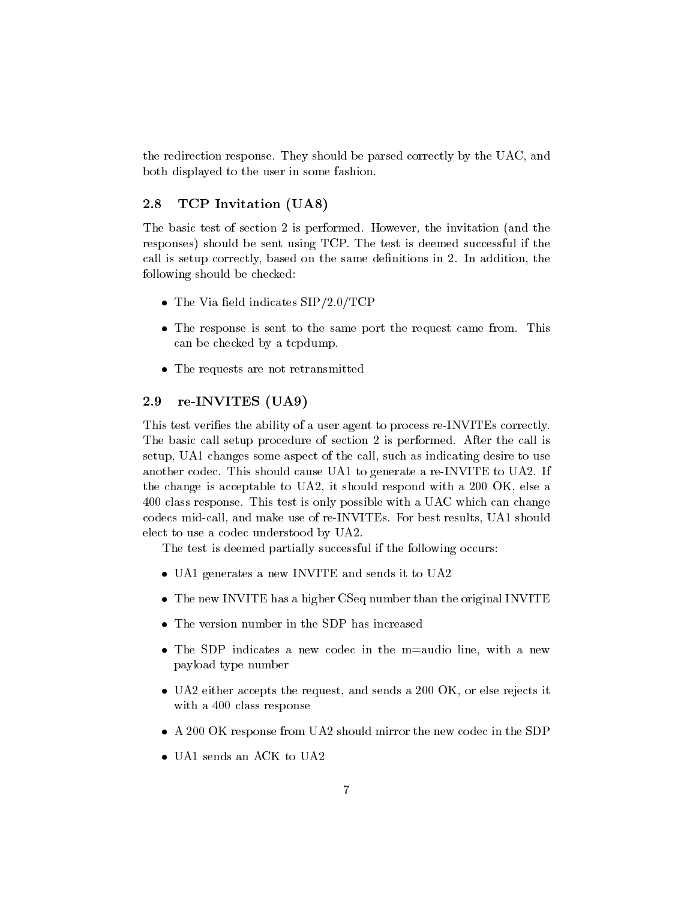the redirection response. They should be parsed correctly by the UAC, and both displayed to the user in some fashion.

## 2.8 TCP Invitation (UA8)

The basic test of section 2 is performed. However, the invitation (and the responses) should be sent using TCP. The test is deemed successful if the call is setup correctly, based on the same definitions in 2. In addition, the following should be checked:

- $T$  and  $T$  is the via  $T$  and  $T$  is the via  $T$   $\sim$   $T$   $\sim$   $T$   $\sim$   $T$   $\sim$   $T$   $\sim$   $T$   $\sim$   $T$   $\sim$   $T$   $\sim$   $T$   $\sim$   $T$   $\sim$   $T$   $\sim$   $T$   $\sim$   $T$   $\sim$   $T$   $\sim$   $T$   $\sim$   $T$   $\sim$   $T$   $\sim$   $T$   $\sim$   $T$   $\sim$   $T$
- The response is sent to the same port the request came from. This can be checked by a tcpdump.
- The requests are not request are not request are not request are not request are not request are not request a

## 2.9 re-INVITES (UA9)

This test verifies the ability of a user agent to process re-INVITEs correctly. The basic call setup procedure of section 2 is performed. After the call is setup, UA1 changes some aspect of the call, such as indicating desire to use another codec. This should cause UA1 to generate a re-INVITE to UA2. If the change is acceptable to UA2, it should respond with a 200 OK, else a 400 class response. This test is only possible with a UAC which can change codecs mid-call, and make use of re-INVITEs. For best results, UA1 should elect to use a codec understood by UA2.

The test is deemed partially successful if the following occurs:

- UAN GREET AND SENDS IN ITEMS IN THE SENDS IN THE UAND IN ITEMS IN ITEMS IN ITEMS IN ITEMS IN ITEMS IN ITEMS IN
- The new INVITE has a higher CSEq number to the original INVITE  $\sim$
- 
- The SDP indicates a new codec in the m=audio line, with a new payload type number
- UA2 either accepts the request, and sends a 200 OK, or else rejects it with a 400 class response
- A 200 OK response from UA2 should mirror the new codec in the SDP
-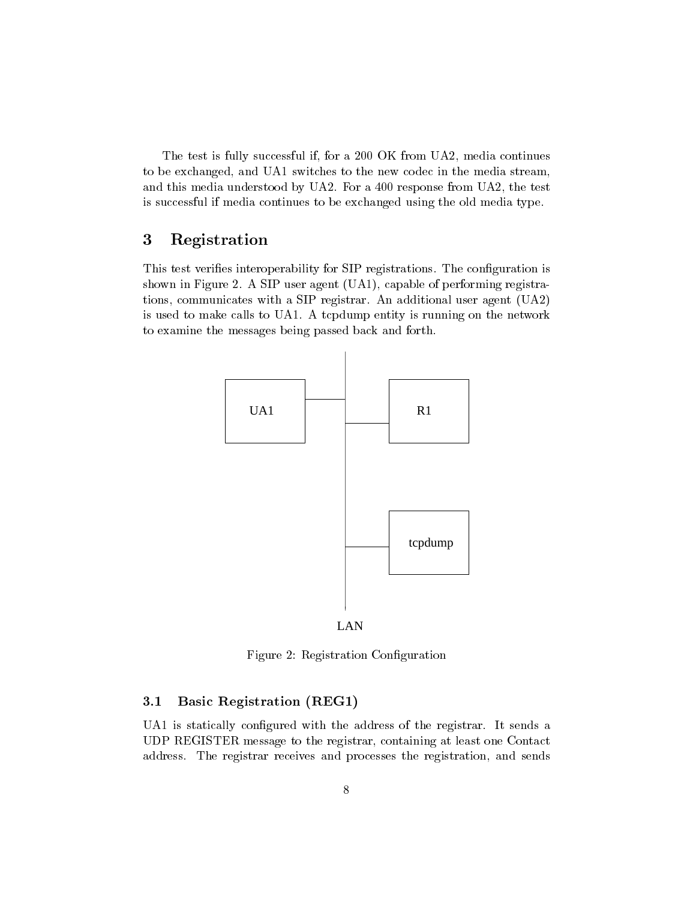The test is fully successful if, for a 200 OK from UA2, media continues to be exchanged, and UA1 switches to the new codec in the media stream, and this media understood by UA2. For a 400 response from UA2, the test is successful if media continues to be exchanged using the old media type.

## 3Registration

This test verifies interoperability for SIP registrations. The configuration is shown in Figure 2. A SIP user agent (UA1), capable of performing registrations, communicates with a SIP registrar. An additional user agent (UA2) is used to make calls to UA1. A tcpdump entity is running on the network to examine the messages being passed back and forth.





Figure 2: Registration Conguration

## $3.1$ Basic Registration (REG1)

UA1 is statically configured with the address of the registrar. It sends a UDP REGISTER message to the registrar, containing at least one Contact address. The registrar receives and processes the registration, and sends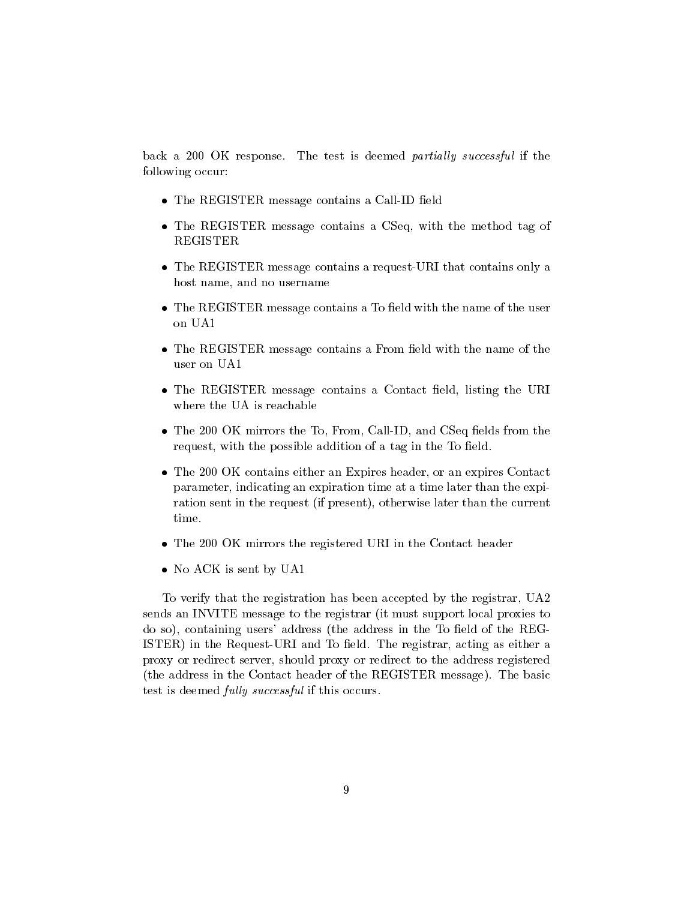back a 200 OK response. The test is deemed partially successful if the following occur:

- The REGISTER message contains a Call-ID eld
- The REGISTER message contains a CSeq, with the method tag of REGISTER
- The REGISTER message contains a request-URI that contains only a host name, and no username
- The REGISTER message contains a To eld with the name of the user on UA1
- The REGISTER message contains a From eld with the name of the user on UA1
- The REGISTER message contains a Contact eld, listing the URI where the UA is reachable
- The 200 OK mirrors the To, From, Call-ID, and CSeq elds from the request, with the possible addition of a tag in the To field.
- The 200 OK contains either an Expires header, or an expires Contact parameter, indicating an expiration time at a time later than the expiration sent in the request (if present), otherwise later than the current time.
- The 200 OK mirrors the registered URI in the Contact header
- no actual is sent by UA11

To verify that the registration has been accepted by the registrar, UA2 sends an INVITE message to the registrar (it must support local proxies to do so), containing users' address (the address in the To field of the REG-ISTER) in the Request-URI and To field. The registrar, acting as either a proxy or redirect server, should proxy or redirect to the address registered (the address in the Contact header of the REGISTER message). The basic test is deemed *fully successful* if this occurs.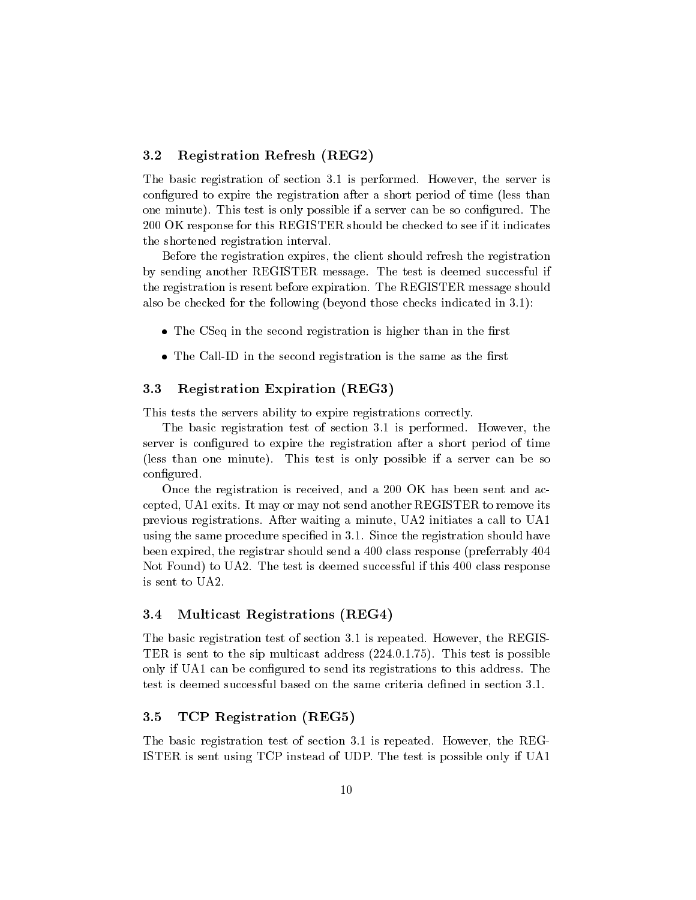## 3.2 Registration Refresh (REG2)

The basic registration of section 3.1 is performed. However, the server is configured to expire the registration after a short period of time (less than one minute). This test is only possible if a server can be so configured. The 200 OK response for this REGISTER should be checked to see if it indicates the shortened registration interval.

Before the registration expires, the client should refresh the registration by sending another REGISTER message. The test is deemed successful if the registration is resent before expiration. The REGISTER message should also be checked for the following (beyond those checks indicated in 3.1):

- The CSeq in the second registration is higher than in the rst
- The Call-ID in the second registration is the same as the rst

## 3.3 Registration Expiration (REG3)

This tests the servers ability to expire registrations correctly.

The basic registration test of section 3.1 is performed. However, the server is configured to expire the registration after a short period of time (less than one minute). This test is only possible if a server can be so configured.

Once the registration is received, and a 200 OK has been sent and accepted, UA1 exits. It may or may not send another REGISTER to remove its previous registrations. After waiting a minute, UA2 initiates a call to UA1 using the same procedure specied in 3.1. Since the registration should have been expired, the registrar should send a 400 class response (preferrably 404 Not Found) to UA2. The test is deemed successful if this 400 class response is sent to UA2.

## 3.4 Multicast Registrations (REG4)  $3.4$

The basic registration test of section 3.1 is repeated. However, the REGIS-TER is sent to the sip multicast address (224.0.1.75). This test is possible only if UA1 can be configured to send its registrations to this address. The test is deemed successful based on the same criteria dened in section 3.1.

## 3.5 TCP Registration (REG5)

The basic registration test of section 3.1 is repeated. However, the REG-ISTER is sent using TCP instead of UDP. The test is possible only if UA1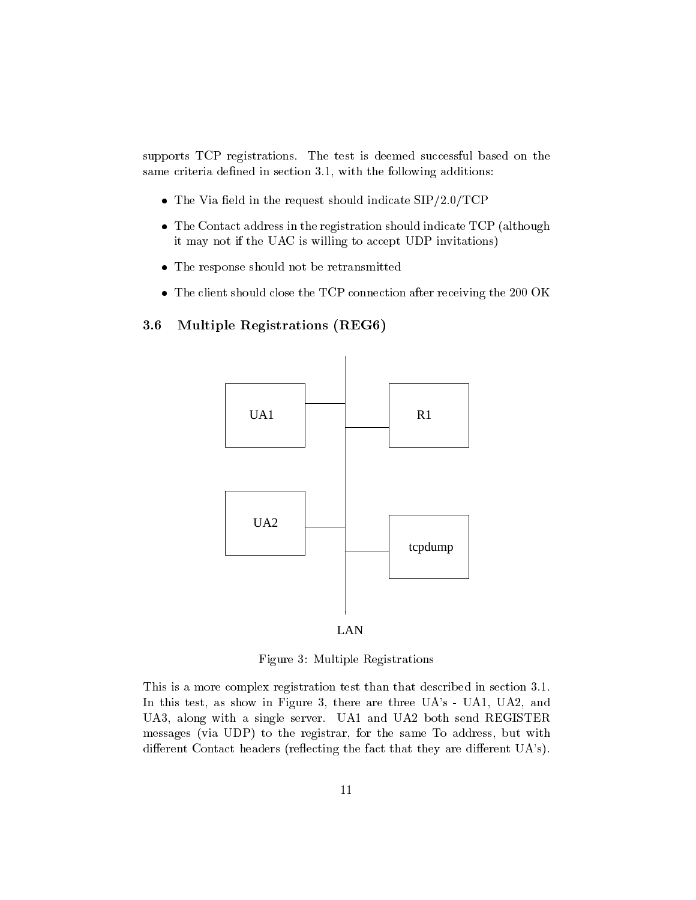supports TCP registrations. The test is deemed successful based on the same criteria defined in section 3.1, with the following additions:

- $\mathcal{L}$  . The via an and request showledge in the request showledge in the signal  $\mathcal{L}$
- $T$  . The Contact address in the registration showledge that  $T$  (although  $T$ it may not if the UAC is willing to accept UDP invitations)
- The response should not be retransmitted
- The client should close the TCP connection after receiving the 200 OK

# 3.6 Multiple Registrations (REG6)





Figure 3: Multiple Registrations

This is a more complex registration test than that described in section 3.1. In this test, as show in Figure 3, there are three UA's - UA1, UA2, and UA3, along with a single server. UA1 and UA2 both send REGISTER messages (via UDP) to the registrar, for the same To address, but with different Contact headers (reflecting the fact that they are different UA's).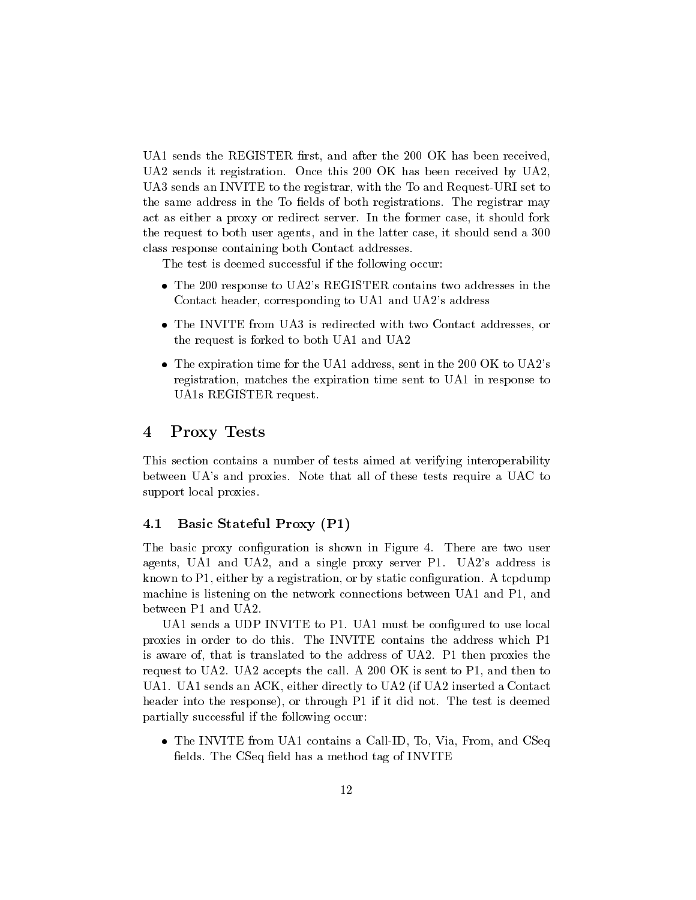UA1 sends the REGISTER first, and after the 200 OK has been received, UA2 sends it registration. Once this 200 OK has been received by UA2, UA3 sends an INVITE to the registrar, with the To and Request-URI set to the same address in the To fields of both registrations. The registrar may act as either a proxy or redirect server. In the former case, it should fork the request to both user agents, and in the latter case, it should send a 300 class response containing both Contact addresses.

The test is deemed successful if the following occur:

- The 200 response to UA2's REGISTER contains two addresses in the Contact header, corresponding to UA1 and UA2's address
- The INVITE from UA3 is redirected with two Contact addresses, or the request is forked to both UA1 and UA2
- The expiration time for the UA1 address, sent in the 200 OK to UA2's registration, matches the expiration time sent to UA1 in response to UA1s REGISTER request.

## 4Proxy Tests

This section contains a number of tests aimed at verifying interoperability between UA's and proxies. Note that all of these tests require a UAC to support local proxies.

## 4.1 Basic Stateful Proxy (P1)

The basic proxy configuration is shown in Figure 4. There are two user agents, UA1 and UA2, and a single proxy server P1. UA2's address is known to  $P1$ , either by a registration, or by static configuration. A tcpdump machine is listening on the network connections between UA1 and P1, and between P1 and UA2.

UA1 sends a UDP INVITE to P1. UA1 must be congured to use local proxies in order to do this. The INVITE contains the address which P1 is aware of, that is translated to the address of UA2. P1 then proxies the request to UA2. UA2 accepts the call. A 200 OK is sent to P1, and then to UA1. UA1 sends an ACK, either directly to UA2 (if UA2 inserted a Contact header into the response), or through P1 if it did not. The test is deemed partially successful if the following occur:

 The INVITE from UA1 contains a Call-ID, To, Via, From, and CSeq fields. The CSeq field has a method tag of INVITE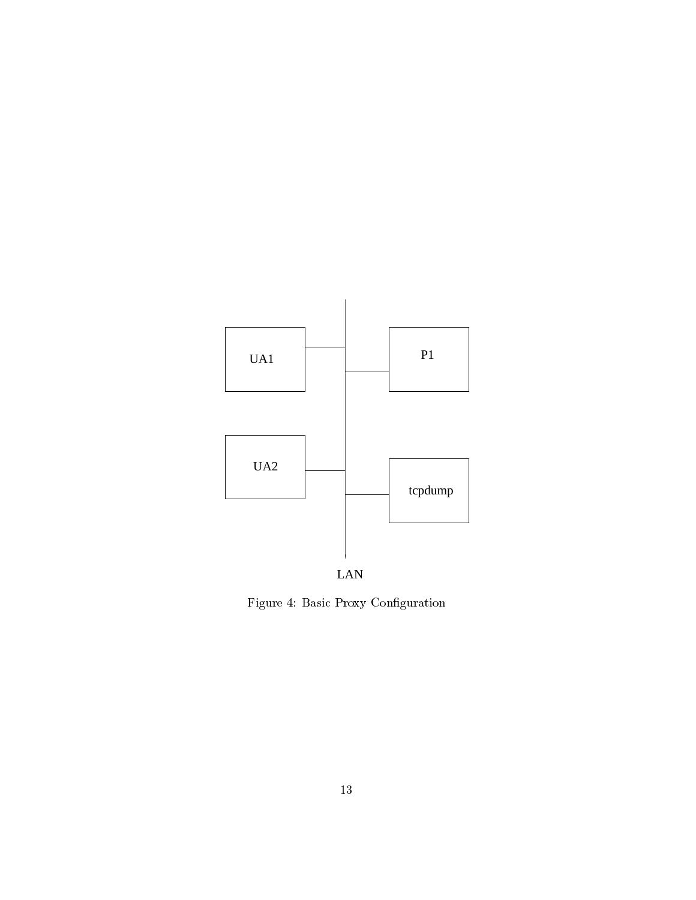



Figure 4: Basic Proxy Conguration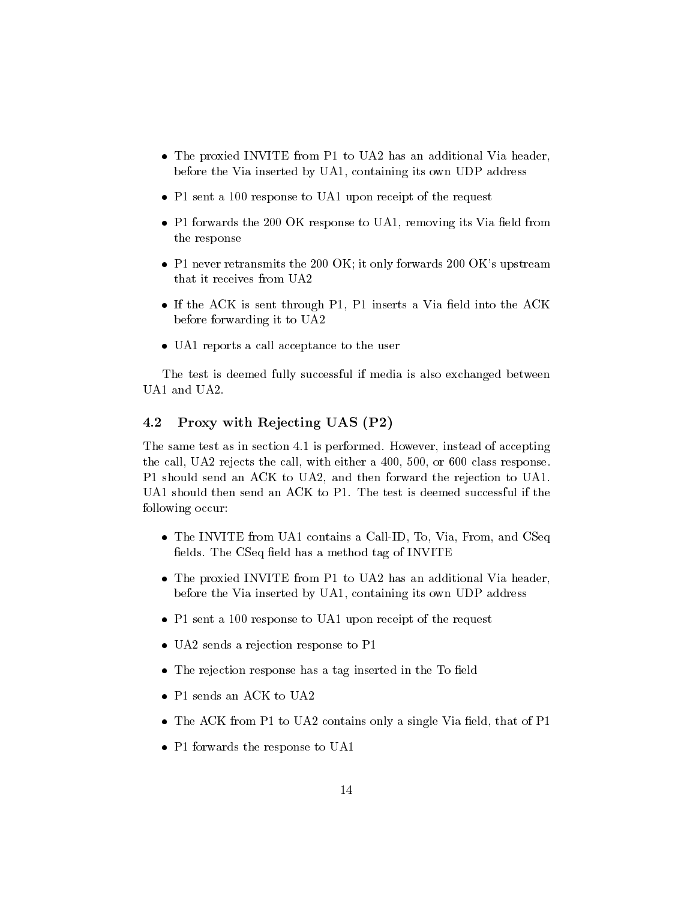- The proxied INVITE from P1 to UA2 has an additional Via header, before the Via inserted by UA1, containing its own UDP address
- P1 sent a 100 response to UA1 upon receipt of the receipt of the request of the response of the receipt of the
- P1 forwards the 200 OK response to UA1, removing its Via eld from the response
- P1 never retransmits the 200 OK; it only forwards 200 OK's upstream
- If the ACC is sent that the ACC is sent a via  $\alpha$  is the ACC insert and  $\alpha$ before forwarding it to UA2
- UA 1 reports a call acceptance to the user the user to the user the user the user that we use the user that we

The test is deemed fully successful if media is also exchanged between UA1 and UA2.

## Proxy with Rejecting UAS (P2)  $4.2$

The same test as in section 4.1 is performed. However, instead of accepting the call, UA2 rejects the call, with either a 400, 500, or 600 class response. P1 should send an ACK to UA2, and then forward the rejection to UA1. UA1 should then send an ACK to P1. The test is deemed successful if the following occur:

- The INVITE from UA1 contains a Call-ID, To, Via, From, and CSeq fields. The CSeq field has a method tag of INVITE
- The proxied INVITE from P1 to UA2 has an additional Via header, before the Via inserted by UA1, containing its own UDP address
- P1 sent a 100 response to UA1 upon receipt of the receipt of the request of the response of the receipt of the
- UA2 sends a rejection response to P1
- The rejection response has a tag inserted in the To eld
- P1 sends an ACK to UA2
- The ACK from P1 to UA2 contains only a single Via eld, that of P1
- P1 for wards the response to UA11 for the response to UA11 for the response to UA11 for the response to UA11 for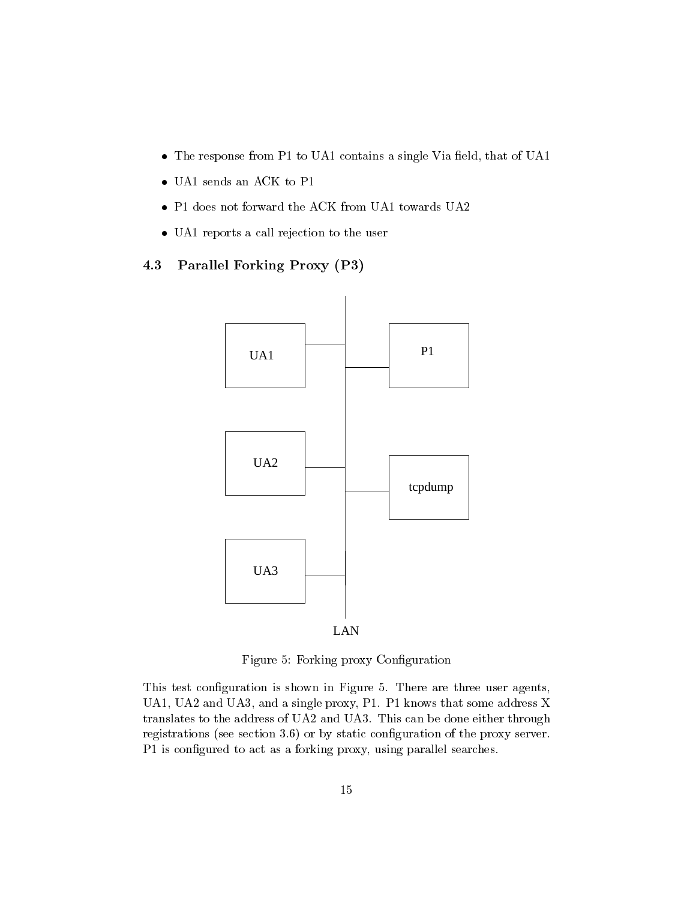- The response from P1 to UA1 contains a single Via single Via the Via Contains a single Via that of UA1 contains
- UA 1 sends an ACK to P1 sends an ACK to P1 sends and P1 sends and P1 sends and P1 sends and P1 sends and P1 se
- 
- UA 1 reports a call reports a call reports and user the user of the user of the user of the user of the user o

# 4.3 Parallel Forking Proxy (P3)



Figure 5: Forking proxy Conguration

This test configuration is shown in Figure 5. There are three user agents, UA1, UA2 and UA3, and a single proxy, P1. P1 knows that some address X translates to the address of UA2 and UA3. This can be done either through registrations (see section 3.6) or by static conguration of the proxy server. P1 is configured to act as a forking proxy, using parallel searches.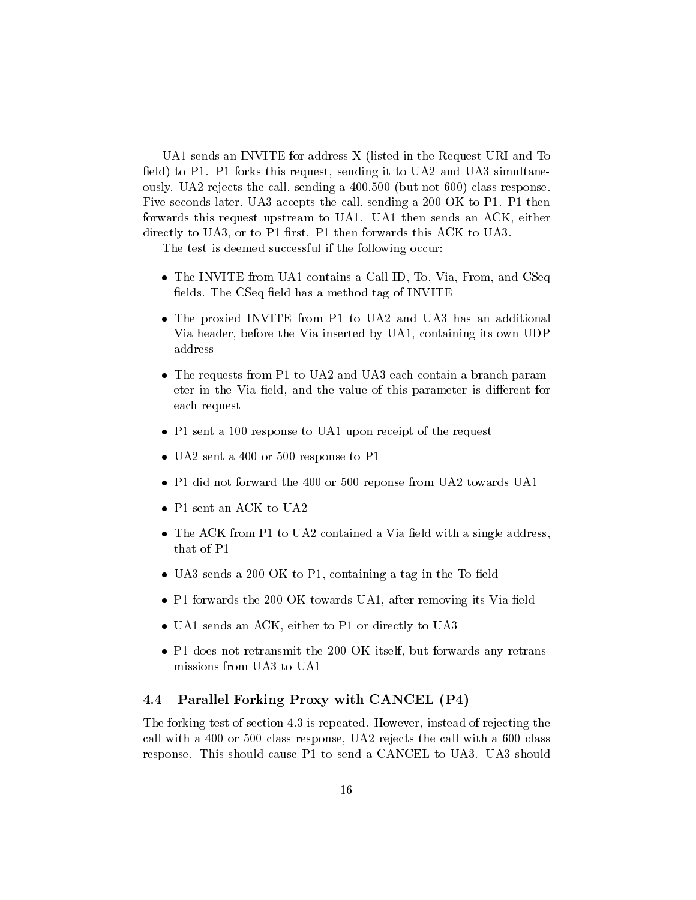UA1 sends an INVITE for address X (listed in the Request URI and To field) to P1. P1 forks this request, sending it to UA2 and UA3 simultaneously. UA2 rejects the call, sending a 400,500 (but not 600) class response. Five seconds later, UA3 accepts the call, sending a 200 OK to P1. P1 then forwards this request upstream to UA1. UA1 then sends an ACK, either directly to UA3, or to P1 first. P1 then forwards this ACK to UA3.

The test is deemed successful if the following occur:

- The INVITE from UA1 contains a Call-ID, To, Via, From, and CSeq fields. The CSeq field has a method tag of INVITE
- The proxied INVITE from P1 to UA2 and UA3 has an additional Via header, before the Via inserted by UA1, containing its own UDP address
- The requests from P1 to UA2 and UA3 each contain a branch parameter in the Via field, and the value of this parameter is different for each request
- P1 sent a 100 response to UA1 upon receipt of the receipt of the request of the response of the receipt of the
- UA2 sent a 400 or 500 response to P100 response to P100 response to P100 response to P100 response to P100 res
- P1 did not forward the 400 or 500 reponse from UA2 towards UA1
- P1 sent and provide an AC sent and UA22 sentiments of the UA22 sentiments are all the UA22 sentiments and UA22
- The ACK from P1 to UA2 contained a Via eld with a single address, that of P1
- UA3 sends a 200 OK to P1, containing a tag in the To eld
- $\mathbf{f}_{\mathbf{A}}$  for  $\mathbf{f}_{\mathbf{A}}$  for  $\mathbf{f}_{\mathbf{A}}$  for  $\mathbf{f}_{\mathbf{A}}$  after removing its Via after removing its Via after removing its Via after removing its Via after removing its Via after removing its Via after remov
- UA1 sends and the UA1 seconds to P1 or directly to UA30
- P1 does not retransmit the 200 OK itself, but forwards any retransmissions from UA3 to UA1

# 4.4 Parallel Forking Proxy with CANCEL (P4)

The forking test of section 4.3 is repeated. However, instead of rejecting the call with a 400 or 500 class response, UA2 rejects the call with a 600 class response. This should cause P1 to send a CANCEL to UA3. UA3 should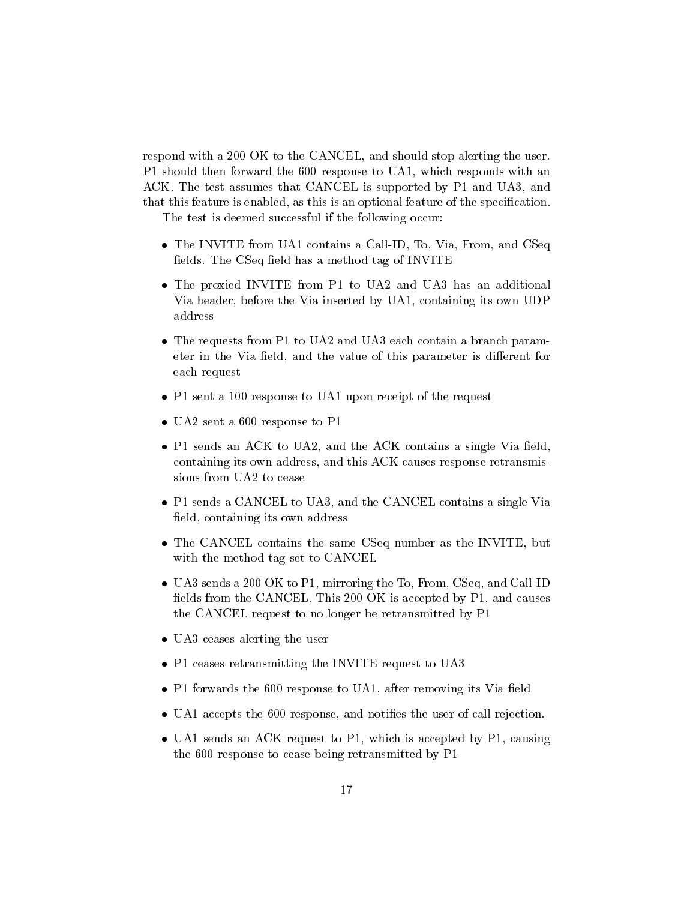respond with a 200 OK to the CANCEL, and should stop alerting the user. P1 should then forward the 600 response to UA1, which responds with an ACK. The test assumes that CANCEL is supported by P1 and UA3, and that this feature is enabled, as this is an optional feature of the specication.

The test is deemed successful if the following occur:

- The INVITE from UA1 contains a Call-ID, To, Via, From, and CSeq fields. The CSeq field has a method tag of INVITE
- The proxied INVITE from P1 to UA2 and UA3 has an additional Via header, before the Via inserted by UA1, containing its own UDP address
- The requests from P1 to UA2 and UA3 each contain a branch parameter in the Via field, and the value of this parameter is different for each request
- P1 sent a 100 response to UA1 upon receipt of the receipt of the request of the response of the receipt of the
- UA2 sent a 600 response to P1 response to P1 response to P1 response to P1 response to P1 response to P1 response to P1 response to P1 response to P1 response to P1 response to P1 response to P1 response to P1 response to
- P1 sends an ACK to UA2, and the ACK contains a single Via eld, containing its own address, and this ACK causes response retransmissions from UA2 to cease
- P1 sends a CANCEL to UA3, and the CANCEL contains a single Via field, containing its own address
- The CANCEL contains the same CSeq number as the INVITE, but with the method tag set to CANCEL
- UA3 sends a 200 OK to P1, mirroring the To, From, CSeq, and Call-ID fields from the CANCEL. This 200 OK is accepted by P1, and causes the CANCEL request to no longer be retransmitted by P1
- UAS ceases all the users  $\alpha$  the users all the users of users and users are users as a set of users and users and users are users and users are users and users are users and users are users and users are users and users a
- P1 ceases retraining the INVITE request to UA33
- P1 forwards the 600 response to UA1, after removing its Via eld
- UA1 accepts the 600 response, and noties the user of call rejection.
- UA1 sends an ACK request to P1, which is accepted by P1,causing the 600 response to cease being retransmitted by P1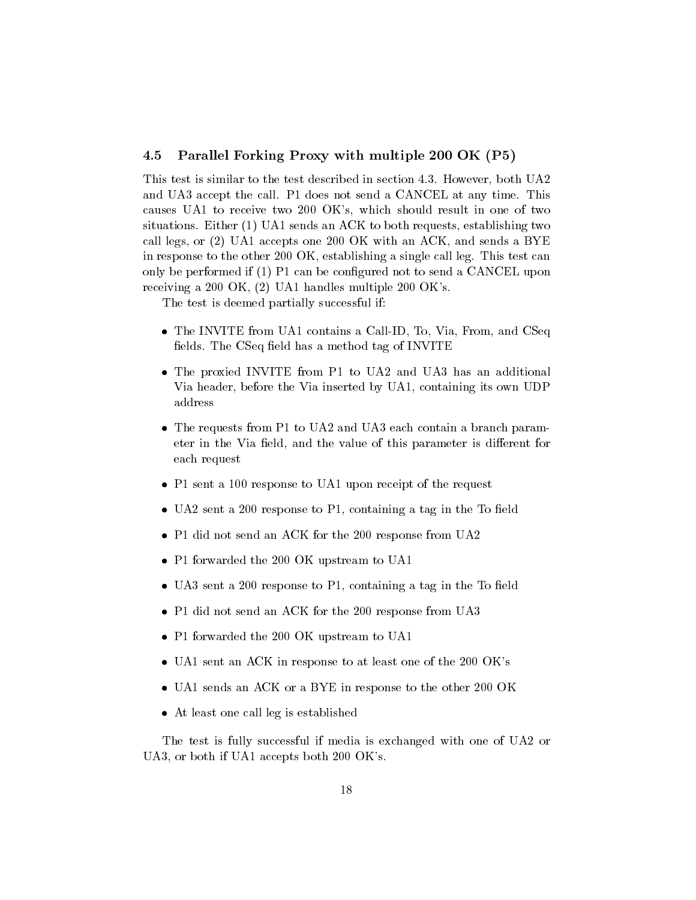## 4.5 Parallel Forking Proxy with multiple 200 OK (P5)

This test is similar to the test described in section 4.3. However, both UA2 and UA3 accept the call. P1 does not send a CANCEL at any time. This causes UA1 to receive two 200 OK's, which should result in one of two situations. Either (1) UA1 sends an ACK to both requests, establishing two call legs, or (2) UA1 accepts one 200 OK with an ACK, and sends a BYE in response to the other 200 OK, establishing a single call leg. This test can only be performed if  $(1)$  P1 can be configured not to send a CANCEL upon receiving a 200 OK, (2) UA1 handles multiple 200 OK's.

The test is deemed partially successful if:

- The INVITE from UA1 contains a Call-ID, To, Via, From, and CSeq fields. The CSeq field has a method tag of INVITE
- The proxied INVITE from P1 to UA2 and UA3 has an additional Via header, before the Via inserted by UA1, containing its own UDP address
- The requests from P1 to UA2 and UA3 each contain a branch parameter in the Via field, and the value of this parameter is different for each request
- P1 sent a 100 response to UA1 upon receipt of the request
- UA2 sent a 200 response to P1, containing a tag in the To eld
- P1 did not send an ACC for the 200 response from UA22
- P1 forwarded the 200 OK upstream to UA1
- UA3 sent a 200 response to P1, containing a tag in the To eld
- P1 did not send an ACC for the 200 response from UA33
- P1 forwarded the 200 OK upstream to UA1
- UA1 sent an ACK in response to at least one of the 200 OK's
- UALLED and ACCEPTANT and ACK or a BYE in response to the other 200 OK.
- At least one call leg is established

The test is fully successful if media is exchanged with one of UA2 or UA3, or both if UA1 accepts both 200 OK's.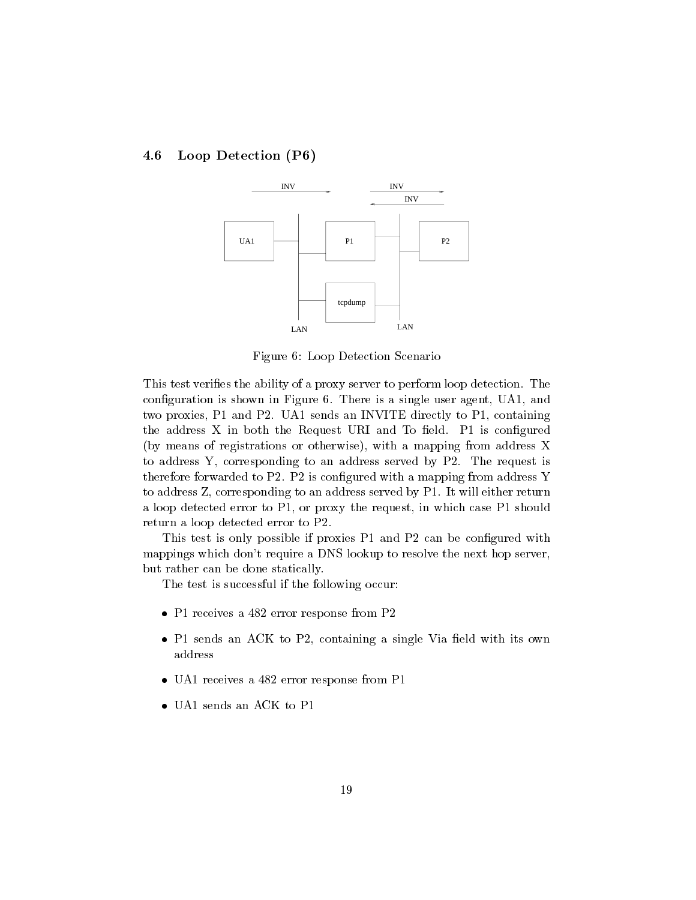# 4.6 Loop Detection (P6)



Figure 6: Loop Detection Scenario

This test veries the ability of a proxy server to perform loop detection. The configuration is shown in Figure 6. There is a single user agent, UA1, and two proxies, P1 and P2. UA1 sends an INVITE directly to P1, containing the address  $X$  in both the Request URI and To field. P1 is configured (by means of registrations or otherwise), with a mapping from address X to address Y, corresponding to an address served by P2. The request is therefore forwarded to P2. P2 is configured with a mapping from address Y to address Z, corresponding to an address served by P1. It will either return a loop detected error to P1, or proxy the request, in which case P1 should return a loop detected error to P2.

This test is only possible if proxies P1 and P2 can be configured with mappings which don't require a DNS lookup to resolve the next hop server, but rather can be done statically.

The test is successful if the following occur:

- P1 receives a 482 error response from P2
- P1 sends an ACK to P2, containing a single Via eld with its own address
- UA1 receives a 482 error response from P1 receives from P1 response from P1 response from P1 response from P1 r
-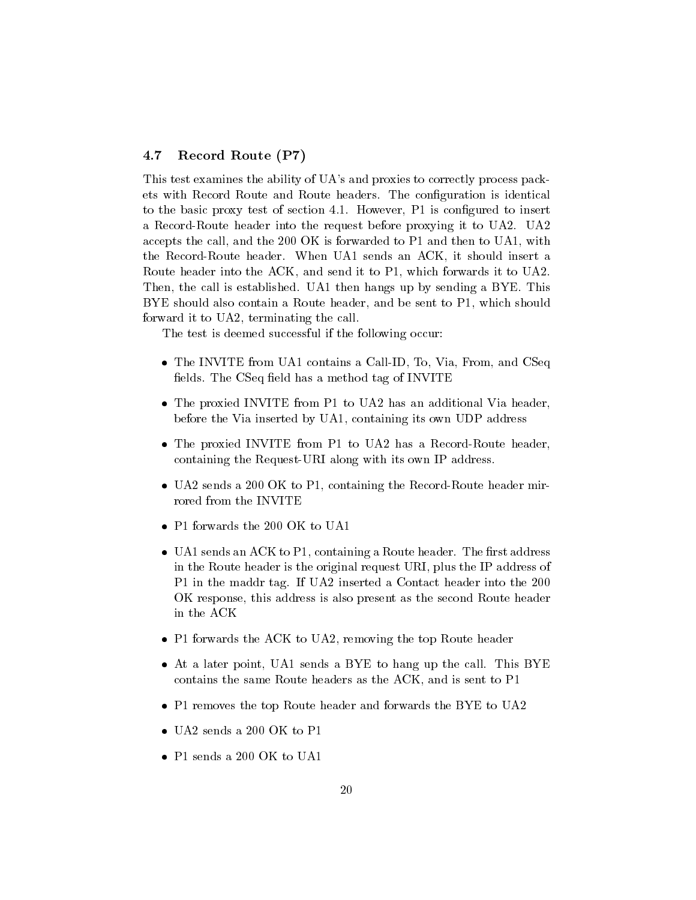## 4.7 Record Route (P7)

This test examines the ability of UA's and proxies to correctly process packets with Record Route and Route headers. The conguration is identical to the basic proxy test of section 4.1. However, P1 is configured to insert a Record-Route header into the request before proxying it to UA2. UA2 accepts the call, and the 200 OK is forwarded to P1 and then to UA1, with the Record-Route header. When UA1 sends an ACK, it should insert a Route header into the ACK, and send it to P1, which forwards it to UA2. Then, the call is established. UA1 then hangs up by sending a BYE. This BYE should also contain a Route header, and be sent to P1, which should forward it to UA2, terminating the call.

The test is deemed successful if the following occur:

- The INVITE from UA1 contains a Call-ID, To, Via, From, and CSeq fields. The CSeq field has a method tag of INVITE
- The proxied INVITE from P1 to UA2 has an additional Via header, before the Via inserted by UA1, containing its own UDP address
- The proxied INVITE from P1 to UA2 has a Record-Route header, containing the Request-URI along with its own IP address.
- UA2 sends a 200 OK to P1, containing the Record-Route header mirrored from the INVITE
- 
- UA1 sends an ACK to P1, containing a Route header. The rst address in the Route header is the original request URI, plus the IP address of P1 in the maddr tag. If UA2 inserted a Contact header into the 200 OK response, this address is also present as the second Route header in the ACK
- P1 forwards the ACK to UA2, removing the top Route header
- At a later point, UA1 sends a BYE to hang up the call. This BYE contains the same Route headers as the ACK, and is sent to P1
- P1 removes the top Route header and forwards the BYE to UA2
- 
-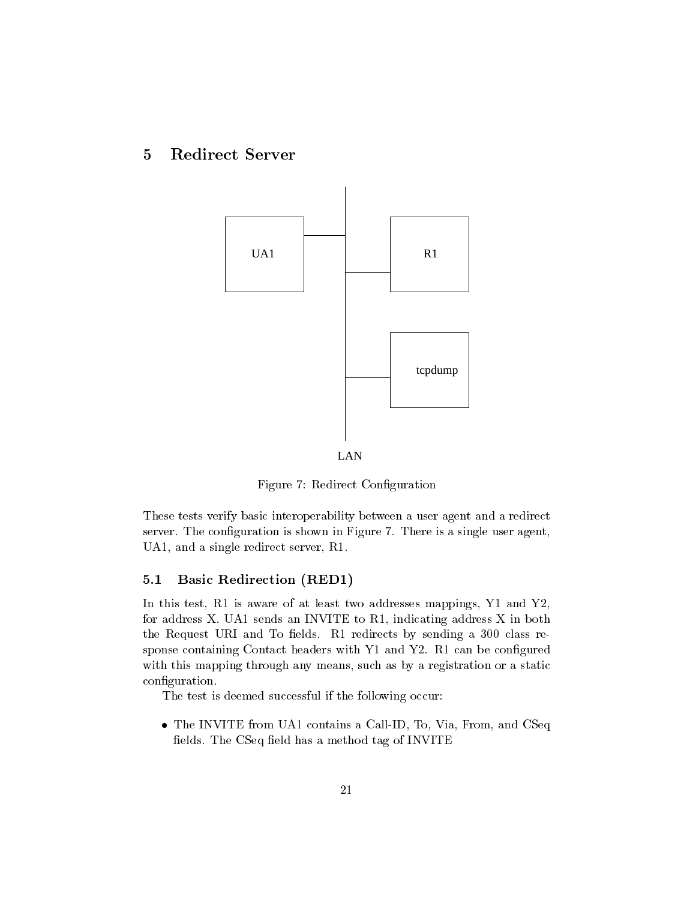## 5Redirect Server



Figure 7: Redirect Conguration

These tests verify basic interoperability between a user agent and a redirect server. The configuration is shown in Figure 7. There is a single user agent, UA1, and a single redirect server, R1.

# 5.1 Basic Redirection (RED1)

In this test, R1 is aware of at least two addresses mappings, Y1 and Y2, for address X. UA1 sends an INVITE to R1, indicating address X in both the Request URI and To fields. R1 redirects by sending a 300 class response containing Contact headers with Y1 and Y2. R1 can be configured with this mapping through any means, such as by a registration or a static configuration.

The test is deemed successful if the following occur:

 The INVITE from UA1 contains a Call-ID, To, Via, From, and CSeq fields. The CSeq field has a method tag of INVITE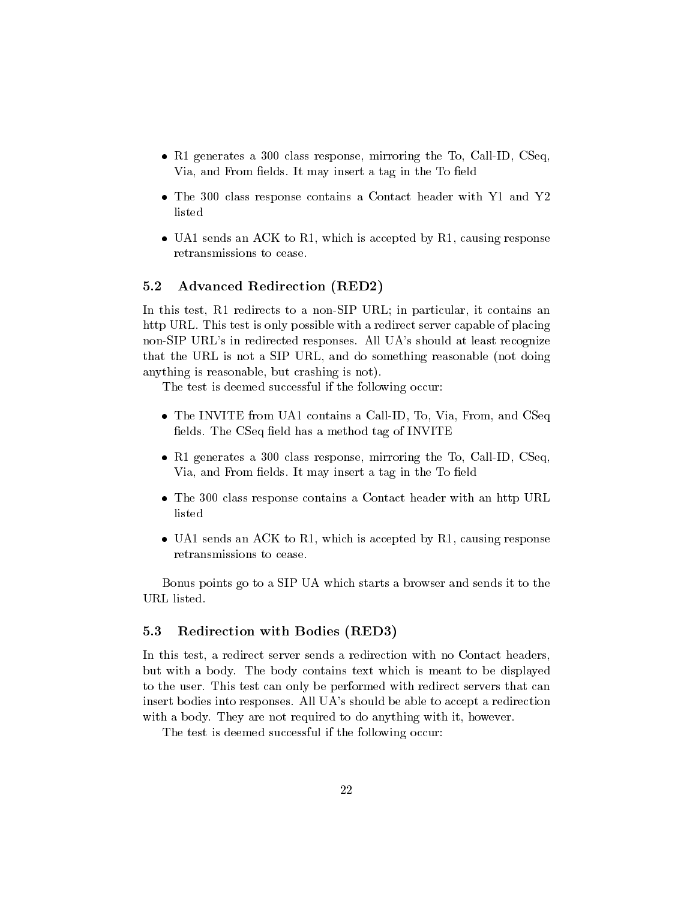- R1 generates a 300 class response, mirroring the To, Call-ID, CSeq, Via, and From fields. It may insert a tag in the To field
- The 300 class response contains a Contact header with Y1 and Y2 listed
- UA 1 sends an ACC to R1, which is accepted by R1, causing response retransmissions to cease.

## 5.2 Advanced Redirection (RED2)

In this test, R1 redirects to a non-SIP URL; in particular, it contains an http URL. This test is only possible with a redirect server capable of placing non-SIP URL's in redirected responses. All UA's should at least recognize that the URL is not a SIP URL, and do something reasonable (not doing anything is reasonable, but crashing is not).

The test is deemed successful if the following occur:

- The INVITE from UA1 contains a Call-ID, To, Via, From UA1 contains a Call-ID, To, Via, From, and CSeq, ID, Via, From, and CSeq, ID, Via, From, and CSeq, ID, Via, From, and CSeq, ID, Via, From, and CSeq, ID, Via, ID, Via, I fields. The CSeq field has a method tag of INVITE
- R1 generates a 300 class response, mirroring the To, Call-ID, CSeq, Via, and From fields. It may insert a tag in the To field
- The 300 class response contains a Contact header with an http URL listed
- UA 1 sends an ACC to R1, which is accepted by R1, causing response retransmissions to cease.

Bonus points go to a SIP UA which starts a browser and sends it to the URL listed.

# 5.3 Redirection with Bodies (RED3)

In this test, a redirect server sends a redirection with no Contact headers, but with a body. The body contains text which is meant to be displayed to the user. This test can only be performed with redirect servers that can insert bodies into responses. All UA's should be able to accept a redirection with a body. They are not required to do anything with it, however.

The test is deemed successful if the following occur: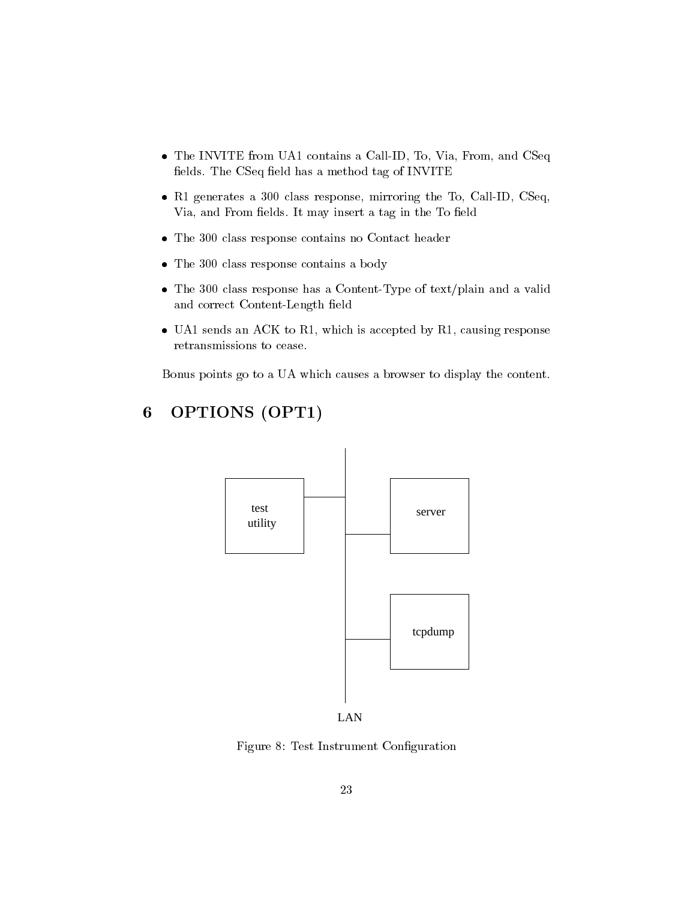- The INVITE from UA1 contains a Call-ID, To, Via, From, and CSeq fields. The CSeq field has a method tag of INVITE
- R1 generates a 300 class response, mirroring the To, Call-ID, CSeq, Via, and From fields. It may insert a tag in the To field
- The 300 class response contains no Contact header
- The 300 class response contains a body
- The 300 class response has a Content-Type of text/plain and a valid and correct Content-Length field
- UA 1 sends an ACC to R1, which is accepted by R1, causing response retransmissions to cease.

Bonus points go to a UA which causes a browser to display the content.

# utility test tcpdump server

## 6OPTIONS (OPT1)



Figure 8: Test Instrument Conguration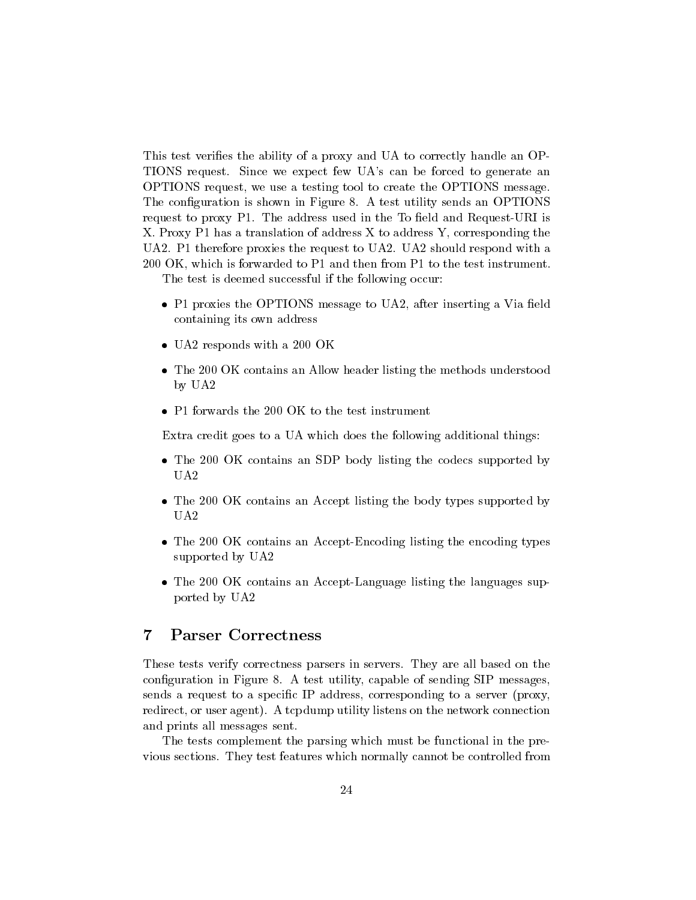This test verifies the ability of a proxy and UA to correctly handle an OP-TIONS request. Since we expect few UA's can be forced to generate an OPTIONS request, we use a testing tool to create the OPTIONS message. The configuration is shown in Figure 8. A test utility sends an OPTIONS request to proxy P1. The address used in the To field and Request-URI is X. Proxy P1 has a translation of address X to address Y, corresponding the UA2. P1 therefore proxies the request to UA2. UA2 should respond with a 200 OK, which is forwarded to P1 and then from P1 to the test instrument.

The test is deemed successful if the following occur:

- P1 proxies the OPTIONS message to UA2, after inserting a Via eld containing its own address
- UA2 responds with a 200 OK.
- The 200 OK contains an Allow header listing the methods understood by UA2
- 

Extra credit goes to a UA which does the following additional things:

- The 200 OK contains an SDP body listing the codecs supported by UA2
- The 200 OK contains an Accept listing the body types supported by  $U_A2$
- The 200 OK contains an Accept-Encoding listing the encoding types supported by UA2
- The 200 OK contains an Accept-Language listing the languages supported by UA2

## $\overline{7}$ **Parser Correctness**

These tests verify correctness parsers in servers. They are all based on the configuration in Figure 8. A test utility, capable of sending SIP messages, sends a request to a specic IP address, corresponding to a server (proxy, redirect, or user agent). A tcpdump utility listens on the network connection and prints all messages sent.

The tests complement the parsing which must be functional in the previous sections. They test features which normally cannot be controlled from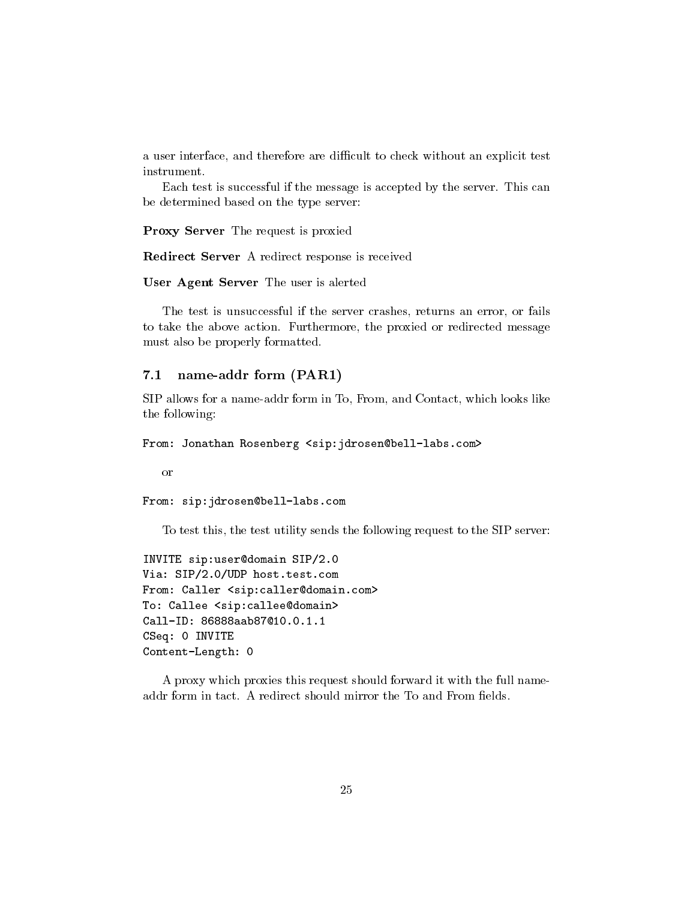a user interface, and therefore are difficult to check without an explicit test

Each test is successful if the message is accepted by the server. This can be determined based on the type server:

Proxy Server The request is proxied

Redirect Server A redirect response is received

User Agent Server The user is alerted

The test is unsuccessful if the server crashes, returns an error, or fails to take the above action. Furthermore, the proxied or redirected message must also be properly formatted.

# 7.1 name-addr form (PAR1)

SIP allows for a name-addr form in To, From, and Contact, which looks like the following:

From: Jonathan Rosenberg <sip:jdrosen@bell-labs.com>

From: sip:jdrosen@bell-labs.com

To test this, the test utility sends the following request to the SIP server:

```
INVITE sip:user@domain SIP/2.0
Via: SIP/2.0/UDP host.test.com
From: Caller <sip:caller@domain.com>
To: Callee <sip:callee@domain>
CSeq: 0 INVITE
Content-Length: 0
```
A proxy which proxies this request should forward it with the full nameaddr form in tact. A redirect should mirror the To and From fields.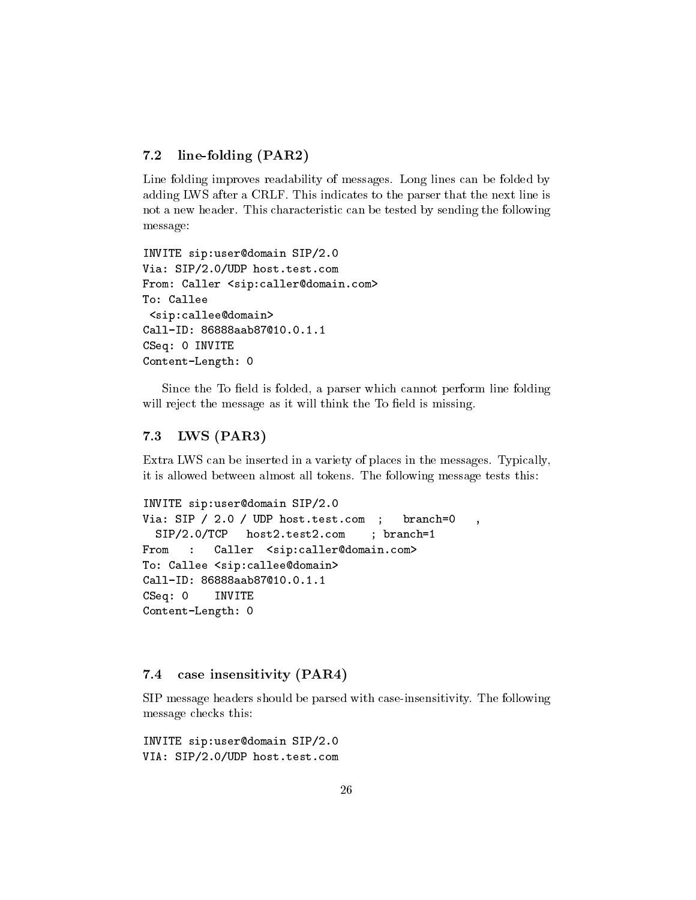# 7.2 line-folding (PAR2)

Line folding improves readability of messages. Long lines can be folded by adding LWS after a CRLF. This indicates to the parser that the next line is not a new header. This characteristic can be tested by sending the following message:

```
INVITE sip:user@domain SIP/2.0
Via: SIP/2.0/UDP host.test.com
From: Caller <sip:caller@domain.com>
To: Callee
 <sip:callee@domain>
Call-ID: 86888aab87@10.0.1.1
CSeq: 0 INVITE
Content-Length: 0
```
Since the To field is folded, a parser which cannot perform line folding will reject the message as it will think the To field is missing.

# 7.3 LWS (PAR3)

Extra LWS can be inserted in a variety of places in the messages. Typically, it is allowed between almost all tokens. The following message tests this:

```
INVITE sip:user@domain SIP/2.0
Via: SIP / 2.0 / UDP host.test.com ; branch=0 ,
  SIP/2.0/TCP host2.test2.com ; branch=1
               host2.test2.com
From : Caller <sip:caller@domain.com>
     \sim 10To: Callee <sip:callee@domain>
Call-ID: 86888aab87@10.0.1.1
CSeq: 0 INVITE
Content-Length: 0
```
# 7.4 case insensitivity (PAR4)

SIP message headers should be parsed with case-insensitivity. The following message checks this:

INVITE sip:user@domain SIP/2.0 VIA: SIP/2.0/UDP host.test.com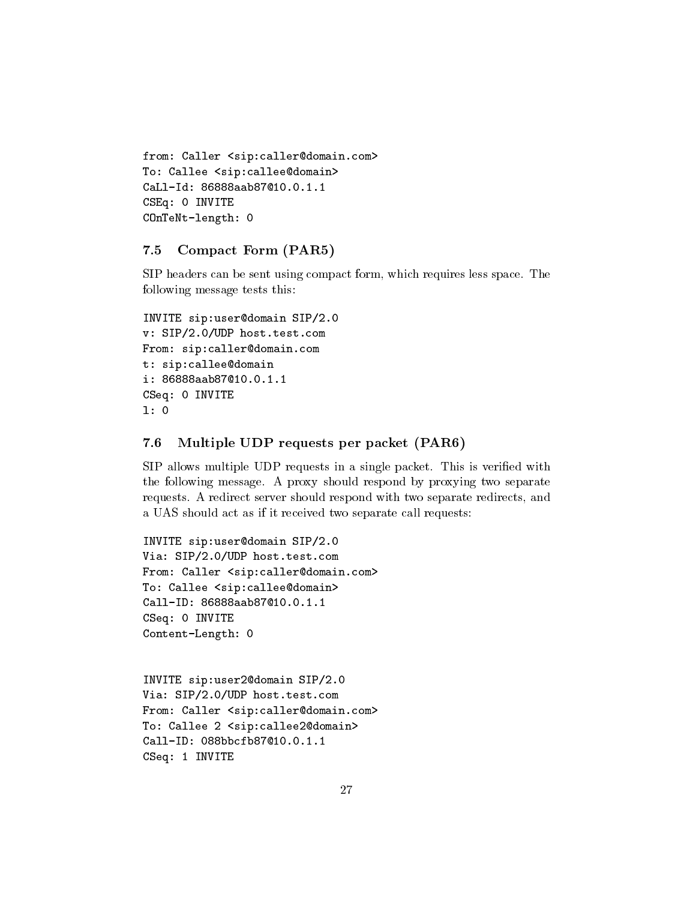```
from: Caller <sip:caller@domain.com>
To: Callee <sip:callee@domain>
CaLl-Id: 86888aab87@10.0.1.1
CSEq: 0 INVITE
COnTeNt-length: 0
```
# 7.5 Compact Form (PAR5)

SIP headers can be sent using compact form, which requires less space. The following message tests this:

```
INVITE sip:user@domain SIP/2.0
v: SIP/2.0/UDP host.test.com
From: sip:caller@domain.com
t: sip:callee@domain
i: 86888aab87@10.0.1.1
CSeq: 0 INVITE
l: 0
```
# 7.6 Multiple UDP requests per packet (PAR6)

SIP allows multiple UDP requests in a single packet. This is veried with the following message. A proxy should respond by proxying two separate requests. A redirect server should respond with two separate redirects, and a UAS should act as if it received two separate call requests:

```
INVITE sip:user@domain SIP/2.0
Via: SIP/2.0/UDP host.test.com
From: Caller <sip:caller@domain.com>
To: Callee <sip:callee@domain>
Call-ID: 86888aab87@10.0.1.1
CSeq: 0 INVITE
Content-Length: 0
```
INVITE sip:user2@domain SIP/2.0 Via: SIP/2.0/UDP host.test.com From: Caller <sip:caller@domain.com> To: Callee 2 <sip:callee2@domain> Call-ID: 088bbcfb87@10.0.1.1 CSeq: 1 INVITE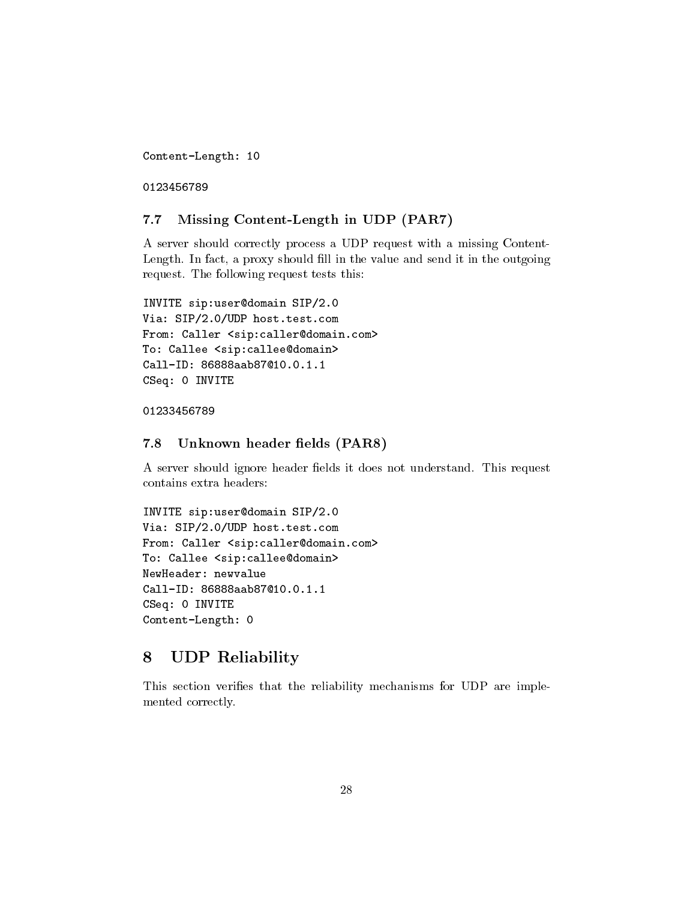Content-Length: 10

## 7.7 Missing Content-Length in UDP (PAR7)

A server should correctly process a UDP request with a missing Content-Length. In fact, a proxy should fill in the value and send it in the outgoing request. The following request tests this:

```
INVITE sip:user@domain SIP/2.0
Via: SIP/2.0/UDP host.test.com
From: Caller <sip:caller@domain.com>
To: Callee <sip:callee@domain>
Call-ID: 86888aab87@10.0.1.1
CSeq: 0 INVITE
```
## 7.8 Unknown header fields (PAR8)

A server should ignore header fields it does not understand. This request contains extra headers:

```
INVITE sip:user@domain SIP/2.0
Via: SIP/2.0/UDP host.test.com
From: Caller <sip:caller@domain.com>
To: Callee <sip:callee@domain>
NewHeader: newvalue
Call-ID: 86888aab87@10.0.1.1
CSeq: 0 INVITE
Content-Length: 0
```
## UDP Reliability 8  $\overline{\phantom{a}}$

This section verifies that the reliability mechanisms for UDP are implemented correctly.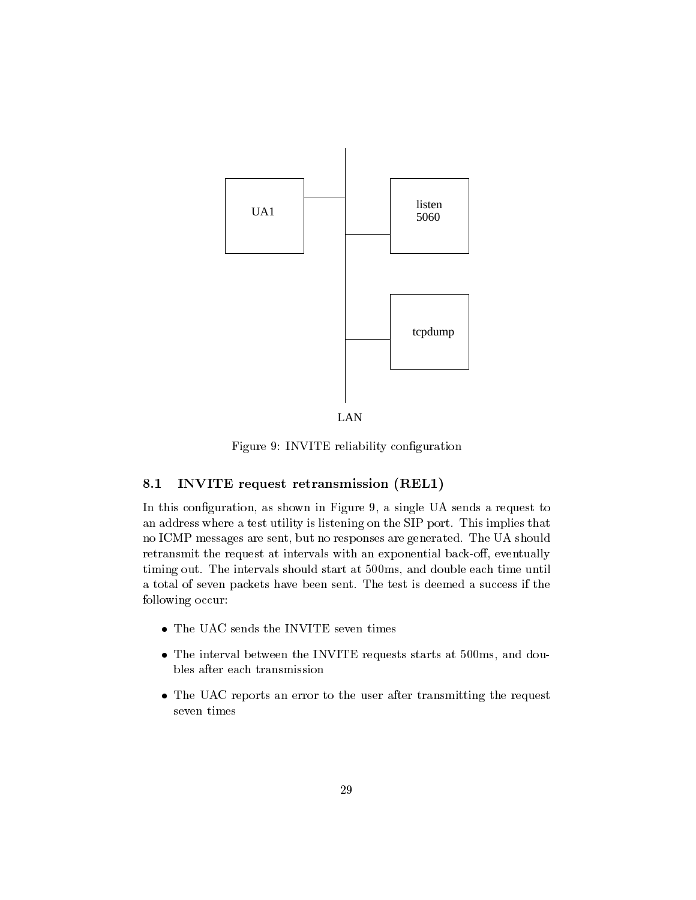

LAN

Figure 9: INVITE reliability conguration

# 8.1 INVITE request retransmission (REL1)

In this configuration, as shown in Figure 9, a single UA sends a request to an address where a test utility is listening on the SIP port. This implies that no ICMP messages are sent, but no responses are generated. The UA should retransmit the request at intervals with an exponential back-off, eventually timing out. The intervals should start at 500ms, and double each time until a total of seven packets have been sent. The test is deemed a success if the following occur:

- 
- The interval between the INVITE requests starts at 500ms, and doubles after each transmission
- The UAC reports an error to the user after transmitting the request seven times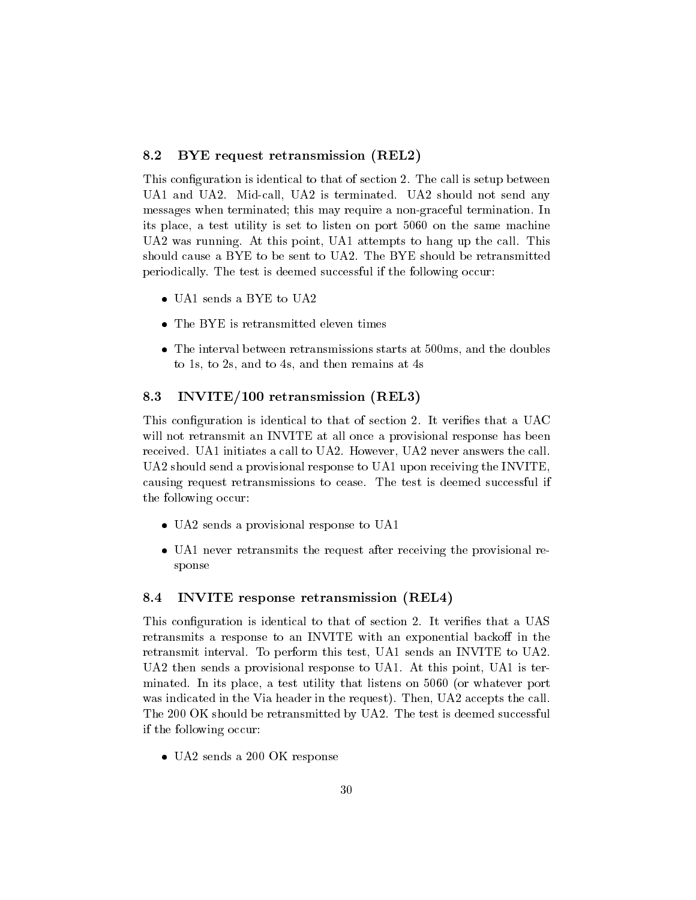# 8.2 BYE request retransmission (REL2)

This configuration is identical to that of section 2. The call is setup between UA1 and UA2. Mid-call, UA2 is terminated. UA2 should not send any messages when terminated; this may require a non-graceful termination. In its place, a test utility is set to listen on port 5060 on the same machine UA2 was running. At this point, UA1 attempts to hang up the call. This should cause a BYE to be sent to UA2. The BYE should be retransmitted periodically. The test is deemed successful if the following occur:

- 
- 
- The interval between retransmissions starts at 500ms, and the doubles to 1s, to 2s, and to 4s, and then remains at 4s

## 8.3 INVITE/100 retransmission (REL3)

This configuration is identical to that of section 2. It verifies that a UAC will not retransmit an INVITE at all once a provisional response has been received. UA1 initiates a call to UA2. However, UA2 never answers the call. UA2 should send a provisional response to UA1 upon receiving the INVITE, causing request retransmissions to cease. The test is deemed successful if the following occur:

- UA2 sends a provisional response to UA1 sends to UA1 sends to UA1 sends to UA1 sends to UA1 sends to UA1 sends
- UA1 never retransmits the request after receiving the provisional response

## 8.4 INVITE response retransmission (REL4) 8.4

This configuration is identical to that of section 2. It verifies that a UAS retransmits a response to an INVITE with an exponential backoff in the retransmit interval. To perform this test, UA1 sends an INVITE to UA2. UA2 then sends a provisional response to UA1. At this point, UA1 is terminated. In its place, a test utility that listens on 5060 (or whatever port was indicated in the Via header in the request). Then, UA2 accepts the call. The 200 OK should be retransmitted by UA2. The test is deemed successful if the following occur:

UA2 sends a 200 OK response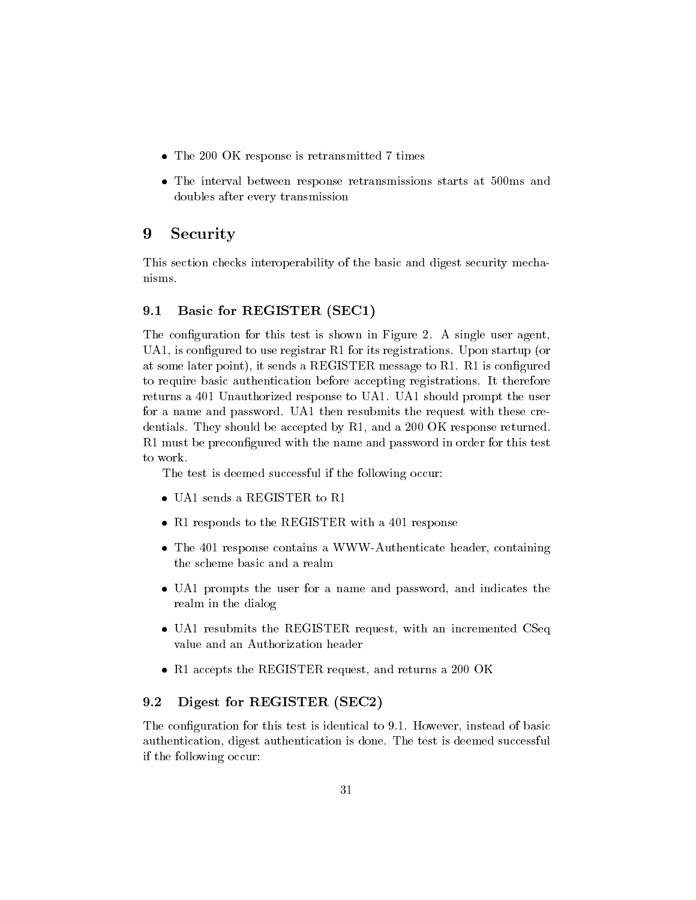- The 200 OK response is retransmitted 7 times
- The interval between response retransmissions starts at 500ms and doubles after every transmission

## 9Security

This section checks interoperability of the basic and digest security mechanisms.

## $9.1$ Basic for REGISTER (SEC1)

The configuration for this test is shown in Figure 2. A single user agent, UA1, is configured to use registrar R1 for its registrations. Upon startup (or at some later point), it sends a REGISTER message to R1. R1 is configured to require basic authentication before accepting registrations. It therefore returns a 401 Unauthorized response to UA1. UA1 should prompt the user for a name and password. UA1 then resubmits the request with these credentials. They should be accepted by R1, and a 200 OK response returned. R1 must be preconfigured with the name and password in order for this test to work.

The test is deemed successful if the following occur:

- UA1 sends a Register and the Register of the Register of the Register of the Register of the Register of the R
- R1 responds to the R1 response with a 401 response with a 401 response to the R1 response to the R1 response to
- The 401 response contains a WWW-Authenticate header, containing the scheme basic and a realm
- UA1 prompts the user for a name and password, and indicates the realm in the dialog
- UA1 resubmits the REGISTER request, with an incremented CSeq value and an Authorization header
- R1 accepts the REGISTER request, and returns a 200 OK

## 9.2 Digest for REGISTER (SEC2)

The configuration for this test is identical to 9.1. However, instead of basic authentication, digest authentication is done. The test is deemed successful if the following occur: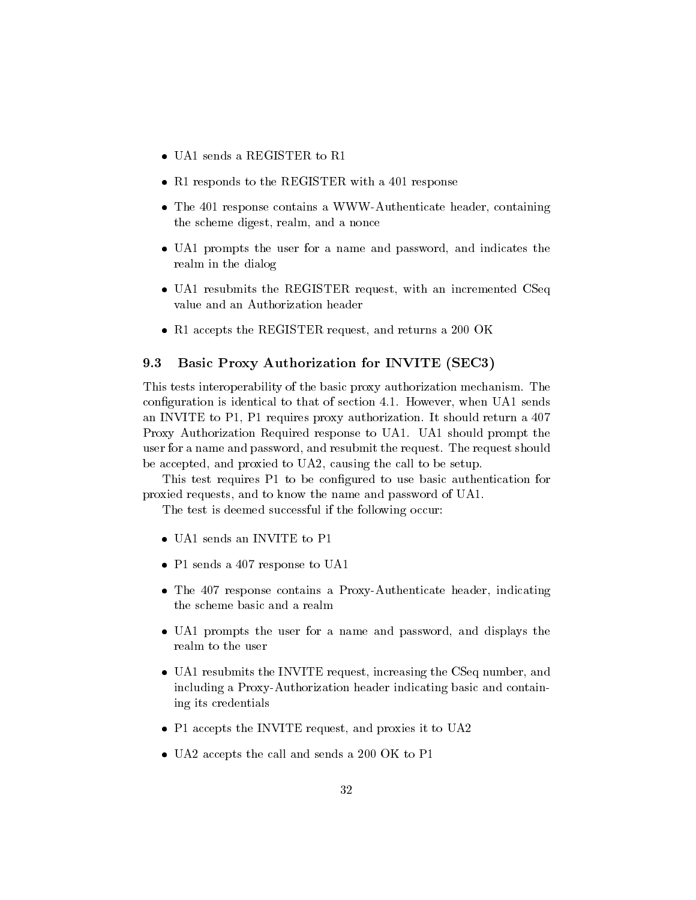- 
- R1 response to the R1 response with a 401 response with a 401 response to the R1 response to the R1 response to
- The 401 response contains a WWW-Authenticate header, containing the scheme digest, realm, and a nonce
- UA1 prompts the user for a name and password, and indicates the realm in the dialog
- UA1 resubmits the REGISTER request, with an incremented CSeq value and an Authorization header
- R1 accepts the REGISTER request, and returns a 200 OK

## 9.3 Basic Proxy Authorization for INVITE (SEC3)

This tests interoperability of the basic proxy authorization mechanism. The conguration is identical to that of section 4.1. However, when UA1 sends an INVITE to P1, P1 requires proxy authorization. It should return a 407 Proxy Authorization Required response to UA1. UA1 should prompt the user for a name and password, and resubmit the request. The request should be accepted, and proxied to UA2, causing the call to be setup.

This test requires P1 to be configured to use basic authentication for proxied requests, and to know the name and password of UA1.

The test is deemed successful if the following occur:

- 
- P1 sends a 407 response to UA1
- The 407 response contains a Proxy-Authenticate header, indicating the scheme basic and a realm
- UA1 prompts the user for a name and password, and displays the realm to the user
- UA1 resubmits the INVITE request, increasing the CSeq number, and including a Proxy-Authorization header indicating basic and containing its credentials
- P1 accepts the Invited request, and proximite it to UA2
- UA2 accepts the call and sends a 200 OK to P1 to P1 to P1 to P1 to P1 to P1 to P1 to P1 to P1 to P1 to P1 to P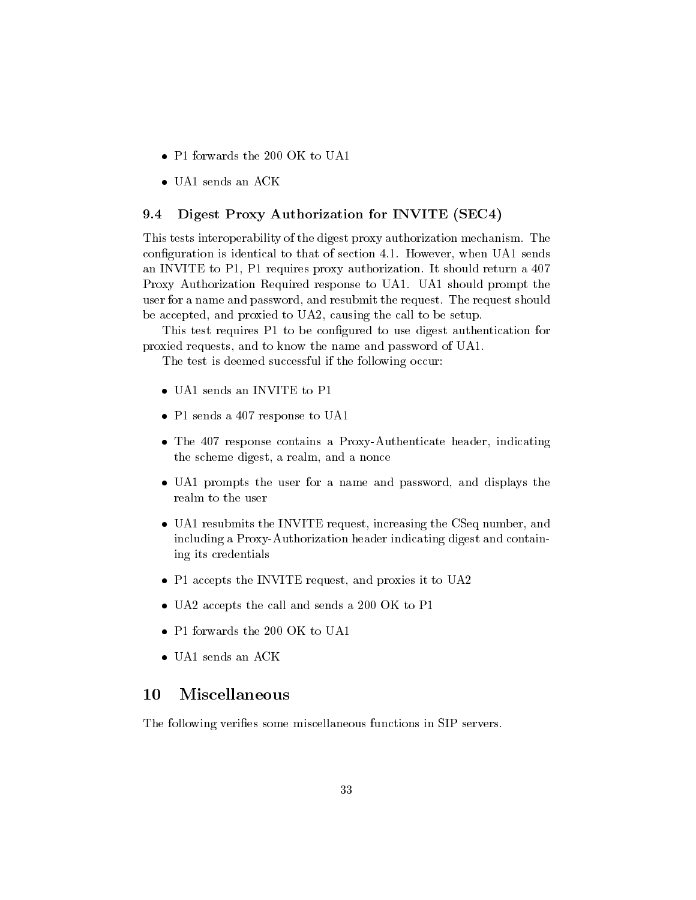- 
- UA1 sends an Ack and Ack and Ack and Ack and Ack and Ack and Ack and Ack and Ack and Ack and Ack and Ack and A

## 9.4 Digest Proxy Authorization for INVITE (SEC4)

This tests interoperability of the digest proxy authorization mechanism. The configuration is identical to that of section 4.1. However, when UA1 sends an INVITE to P1, P1 requires proxy authorization. It should return a 407 Proxy Authorization Required response to UA1. UA1 should prompt the user for a name and password, and resubmit the request. The request should be accepted, and proxied to UA2, causing the call to be setup.

This test requires P1 to be configured to use digest authentication for proxied requests, and to know the name and password of UA1.

The test is deemed successful if the following occur:

- UA1 sends an Invited and Invited and Invited and Invited and Invited and Invited and Invited and Invited and I
- P1 sends a 407 response to UA11 response to UA12 response to UA12 response to UA12 response to UA12 response t
- The 407 response contains a Proxy-Authenticate header, indicating the scheme digest, a realm, and a nonce
- UA1 prompts the user for a name and password, and displays the realm to the user
- UA1 resubmits the INVITE request, increasing the CSeq number, and including a Proxy-Authorization header indicating digest and containing its credentials
- P1 accepts the Invited request, and proximite it to UA2
- UA2 accepts the call and sends a 200 OK to P1 to P1 to P1 to P1 to P1 to P1 to P1 to P1 to P1 to P1 to P1 to P
- 
- 

## 10Miscellaneous

The following verifies some miscellaneous functions in SIP servers.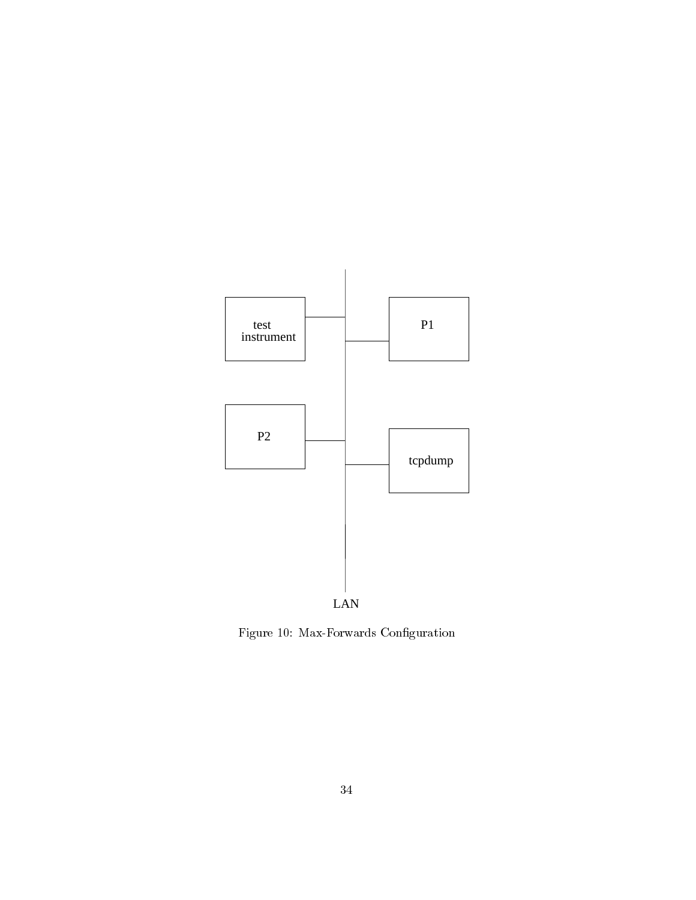

Figure 10: Max-Forwards Conguration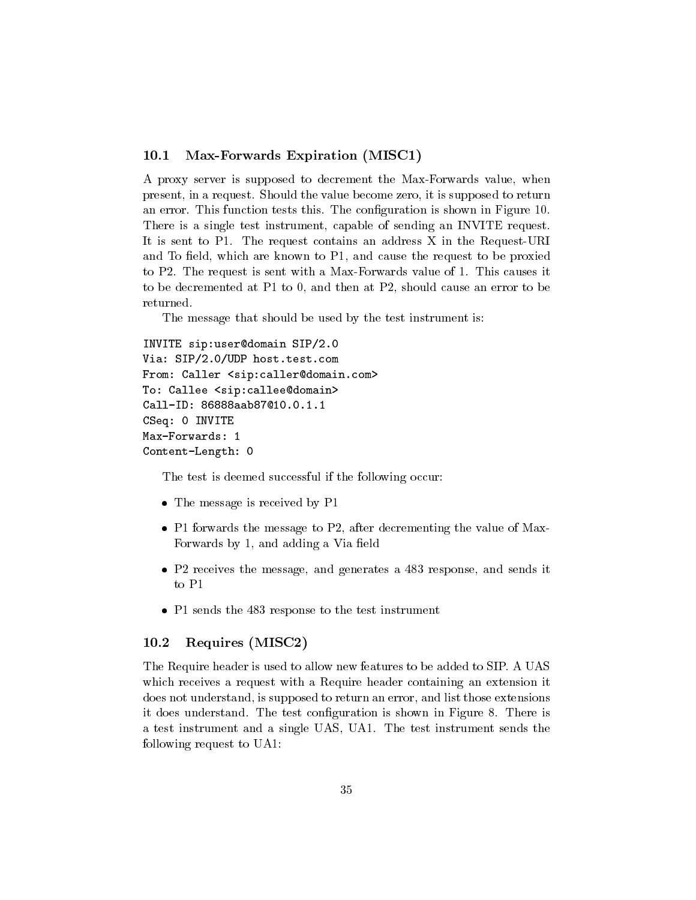## 10.1 Max-Forwards Expiration (MISC1)

A proxy server is supposed to decrement the Max-Forwards value, when present, in a request. Should the value become zero, it is supposed to return an error. This function tests this. The conguration is shown in Figure 10. There is a single test instrument, capable of sending an INVITE request. It is sent to P1. The request contains an address X in the Request-URI and To field, which are known to  $P1$ , and cause the request to be proxied to P2. The request is sent with a Max-Forwards value of 1. This causes it to be decremented at P1 to 0, and then at P2, should cause an error to be returned.

The message that should be used by the test instrument is:

```
INVITE sip:user@domain SIP/2.0
Via: SIP/2.0/UDP host.test.com
From: Caller <sip:caller@domain.com>
To: Callee <sip:callee@domain>
Call-ID: 86888aab87@10.0.1.1
CSeq: 0 INVITE
Max-Forwards: 1
Content-Length: 0
```
The test is deemed successful if the following occur:

- The message is received by P1 and P1 and P1 and P1 and P1 and P1 and P1 and P1 and P1 and P1 and P1 and P1 and
- P1 forwards the message to P2, after decrementing the value of Max-Forwards by 1, and adding a Via field
- P2 receives the message, and generates a 483 response, and sends it to P1
- P1 sends the 483 response to the test instrument

## 10.2 Requires (MISC2)

The Require header is used to allow new features to be added to SIP. A UAS which receives a request with a Require header containing an extension it does not understand, is supposed to return an error, and list those extensions it does understand. The test configuration is shown in Figure 8. There is a test instrument and a single UAS, UA1. The test instrument sends the following request to UA1: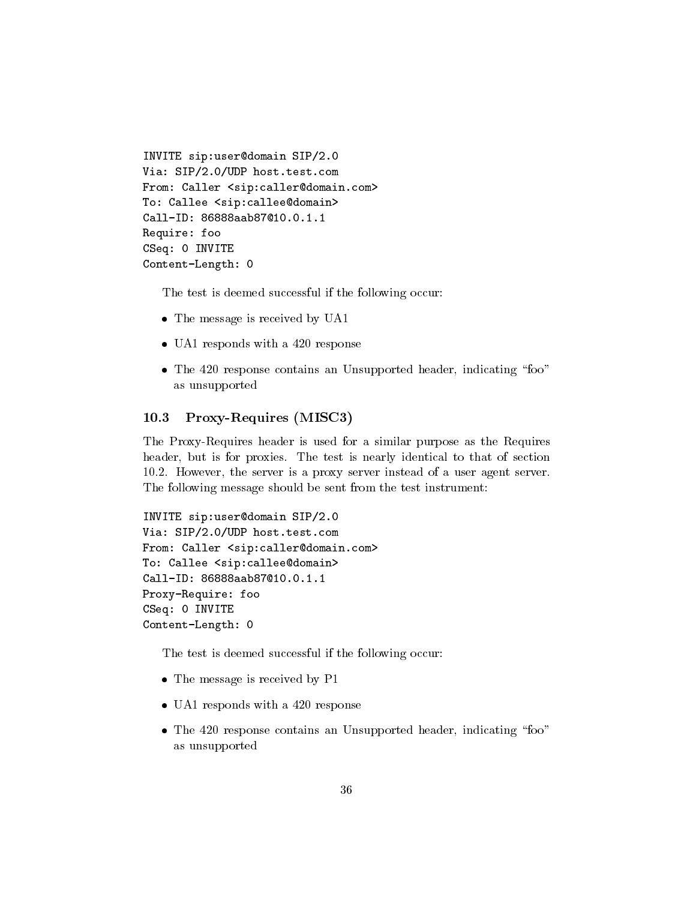```
INVITE sip:user@domain SIP/2.0
Via: SIP/2.0/UDP host.test.com
From: Caller <sip:caller@domain.com>
To: Callee <sip:callee@domain>
Call-ID: 86888aab87@10.0.1.1
Require: foo
CSeq: 0 INVITE
Content-Length: 0
```
The test is deemed successful if the following occur:

- The message is received by UA11
- UA1 responds with a 420 response with a 420 response with a 420 response with a 420 response with a 420 response w
- $T$  . The 420 response contains and Unsurance indicating  $\frac{1}{2}$  response  $\frac{1}{2}$ as unsupported

## 10.3 Proxy-Requires (MISC3)

The Proxy-Requires header is used for a similar purpose as the Requires header, but is for proxies. The test is nearly identical to that of section 10.2. However, the server is a proxy server instead of a user agent server. The following message should be sent from the test instrument:

```
INVITE sip:user@domain SIP/2.0
Via: SIP/2.0/UDP host.test.com
From: Caller <sip:caller@domain.com>
To: Callee <sip:callee@domain>
Call-ID: 86888aab87@10.0.1.1
Proxy-Require: foo
CSeq: 0 INVITE
Content-Length: 0
```
The test is deemed successful if the following occur:

- The message is received by P1 and P1 and P1 and P1 and P1 and P1 and P1 and P1 and P1 and P1 and P1 and P1 and
- UA = 420 personal with a 420 response with a 420 response with a 420 response with a 420 response with a 420 r
- $T$  . The 420 response contains and Unsurance indicating  $\frac{1}{2}$  response  $\frac{1}{2}$ as unsupported